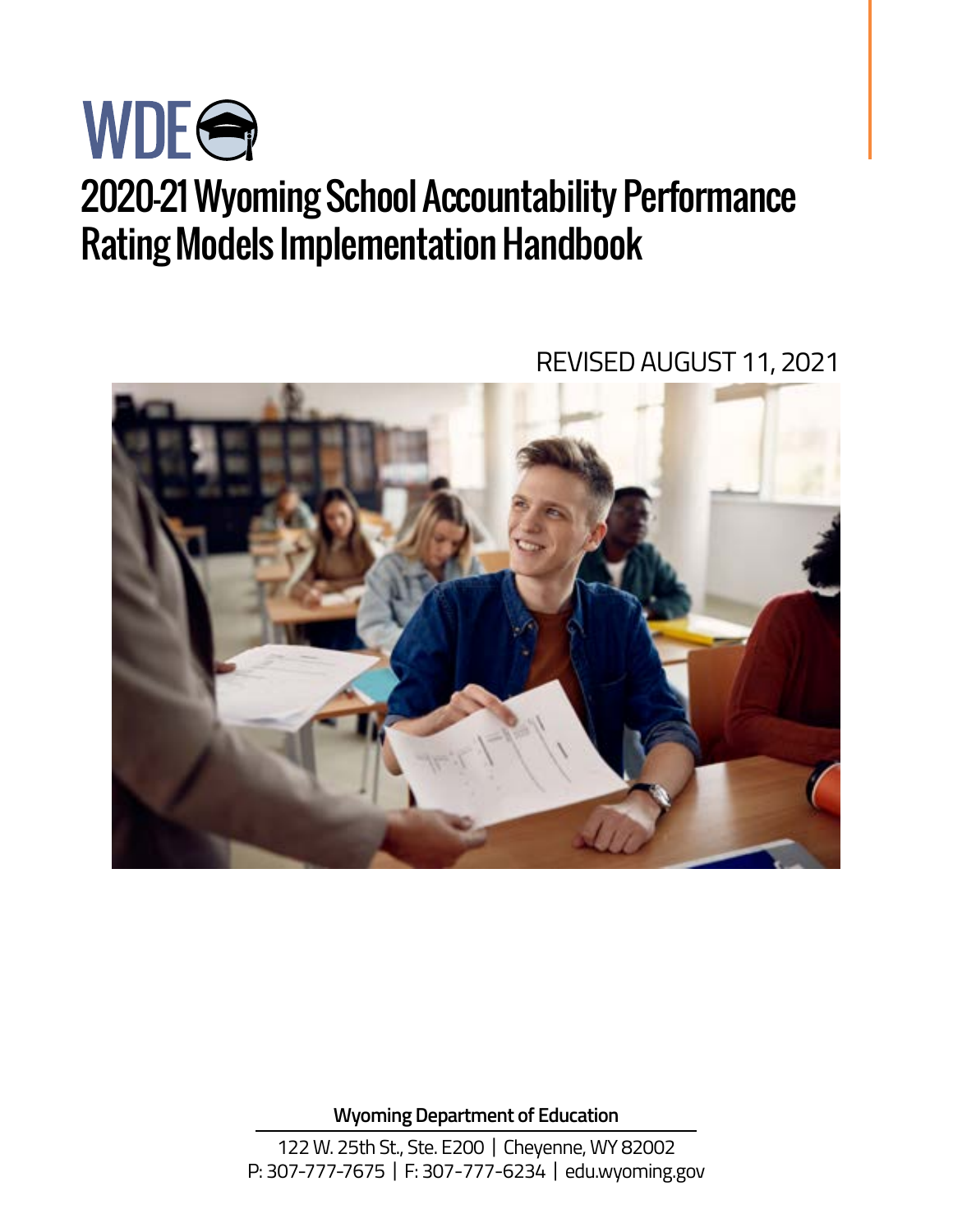

# 2020-21 Wyoming School Accountability Performance Rating Models Implementation Handbook

REVISED AUGUST 11, 2021



**Wyoming Department of Education** 

122 W. 25th St., Ste. E200 | Cheyenne, WY 82002 P: 307-777-7675 | F: 307-777-6234 | [edu.wyoming.gov](https://edu.wyoming.gov)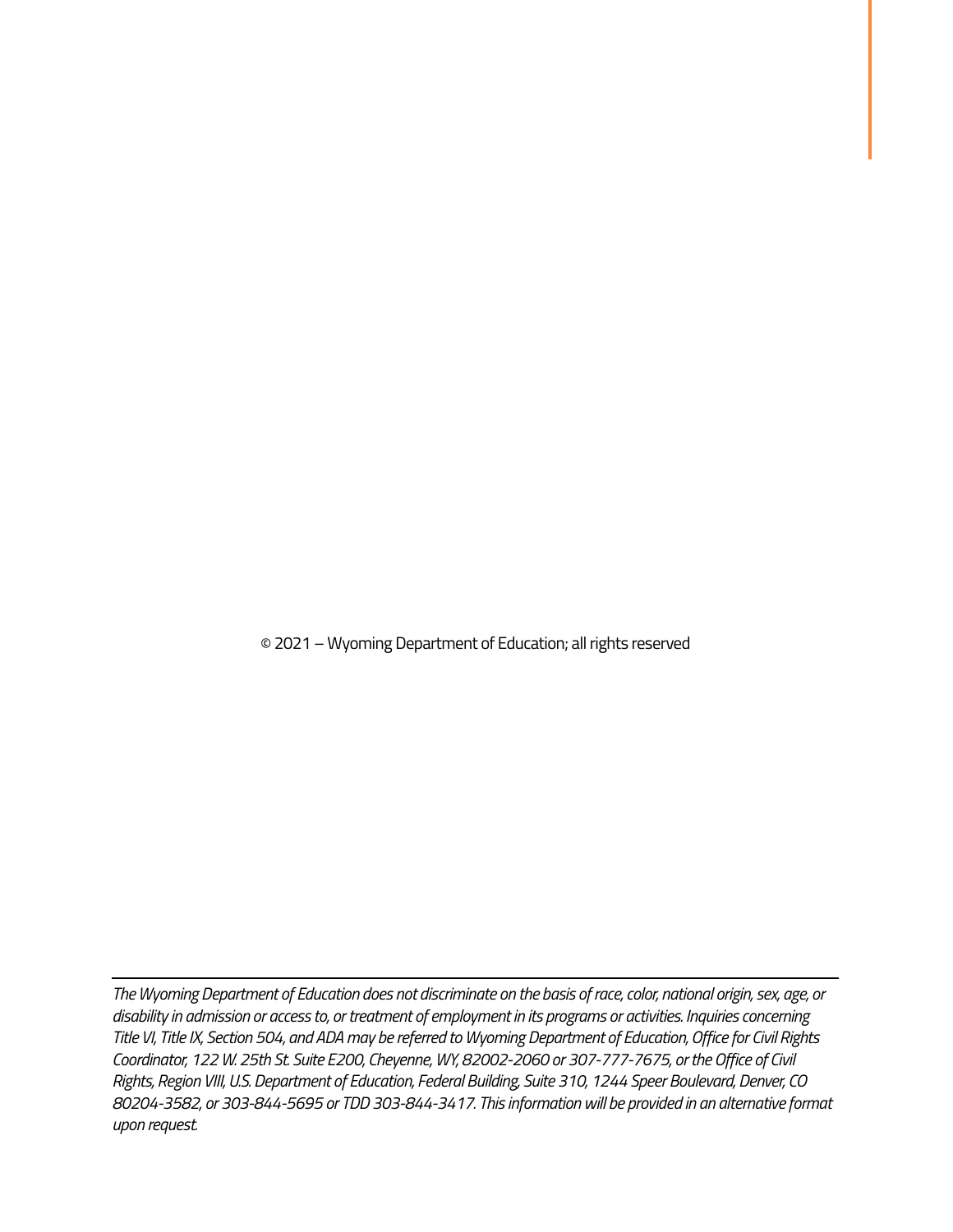© 2021 – Wyoming Department of Education; all rights reserved

*The Wyoming Department of Education does not discriminate on the basis of race, color, national origin, sex, age, or disability in admission or access to, or treatment of employment in its programs or activities. Inquiries concerning Title VI, Title IX, Section 504, and ADA may be referred to Wyoming Department of Education, Office for Civil Rights Coordinator, 122 W. 25th St. Suite E200, Cheyenne, WY, 82002-2060 or 307-777-7675, or the Office of Civil Rights, Region VIII, U.S. Department of Education, Federal Building, Suite 310, 1244 Speer Boulevard, Denver, CO 80204-3582, or 303-844-5695 or TDD 303-844-3417. This information will be provided in an alternative format upon request.*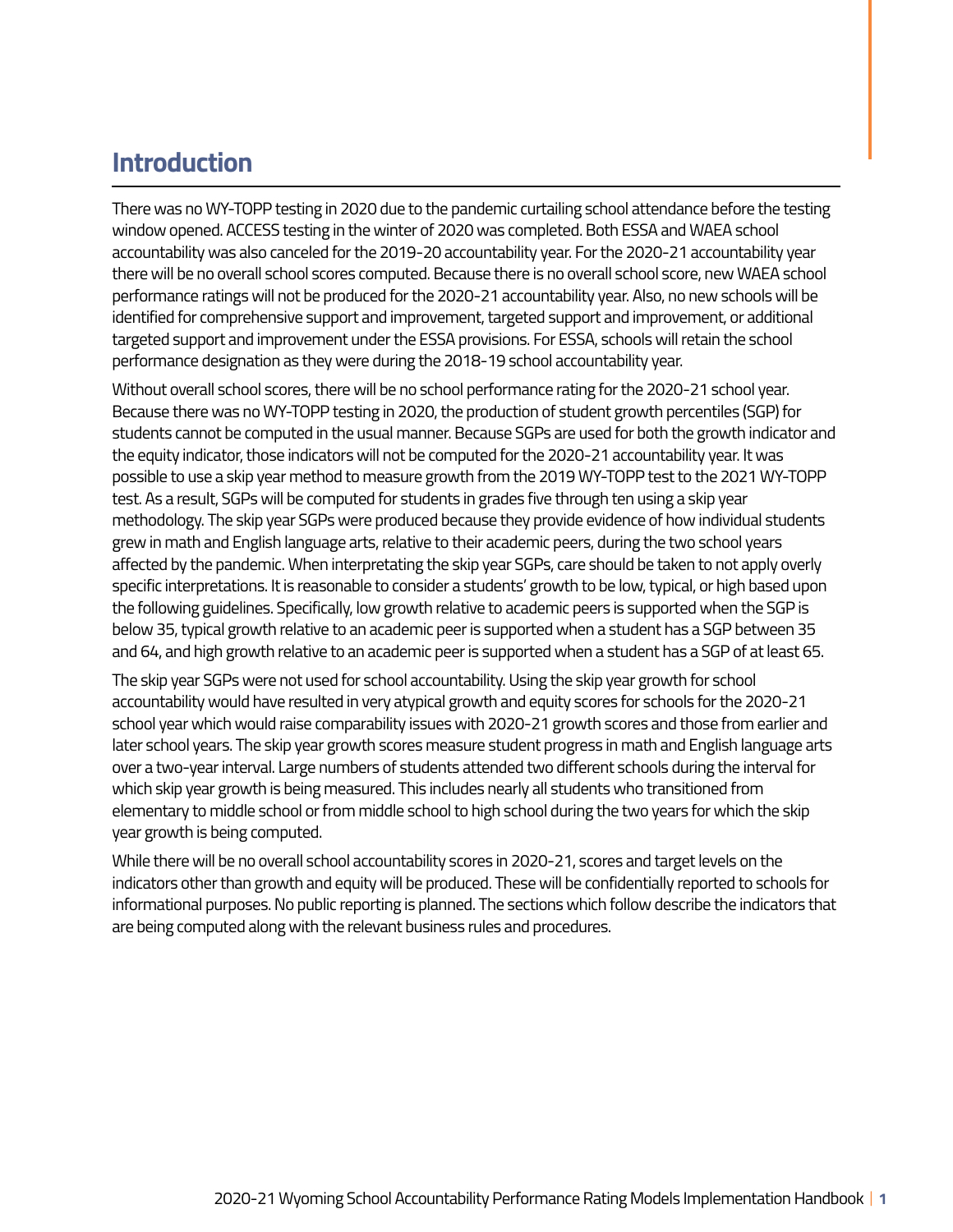# **Introduction**

There was no WY-TOPP testing in 2020 due to the pandemic curtailing school attendance before the testing window opened. ACCESS testing in the winter of 2020 was completed. Both ESSA and WAEA school accountability was also canceled for the 2019-20 accountability year. For the 2020-21 accountability year there will be no overall school scores computed. Because there is no overall school score, new WAEA school performance ratings will not be produced for the 2020-21 accountability year. Also, no new schools will be identified for comprehensive support and improvement, targeted support and improvement, or additional targeted support and improvement under the ESSA provisions. For ESSA, schools will retain the school performance designation as they were during the 2018-19 school accountability year.

Without overall school scores, there will be no school performance rating for the 2020-21 school year. Because there was no WY-TOPP testing in 2020, the production of student growth percentiles (SGP) for students cannot be computed in the usual manner. Because SGPs are used for both the growth indicator and the equity indicator, those indicators will not be computed for the 2020-21 accountability year. It was possible to use a skip year method to measure growth from the 2019 WY-TOPP test to the 2021 WY-TOPP test. As a result, SGPs will be computed for students in grades five through ten using a skip year methodology. The skip year SGPs were produced because they provide evidence of how individual students grew in math and English language arts, relative to their academic peers, during the two school years affected by the pandemic. When interpretating the skip year SGPs, care should be taken to not apply overly specific interpretations. It is reasonable to consider a students' growth to be low, typical, or high based upon the following guidelines. Specifically, low growth relative to academic peers is supported when the SGP is below 35, typical growth relative to an academic peer is supported when a student has a SGP between 35 and 64, and high growth relative to an academic peer is supported when a student has a SGP of at least 65.

The skip year SGPs were not used for school accountability. Using the skip year growth for school accountability would have resulted in very atypical growth and equity scores for schools for the 2020-21 school year which would raise comparability issues with 2020-21 growth scores and those from earlier and later school years. The skip year growth scores measure student progress in math and English language arts over a two-year interval. Large numbers of students attended two different schools during the interval for which skip year growth is being measured. This includes nearly all students who transitioned from elementary to middle school or from middle school to high school during the two years for which the skip year growth is being computed.

While there will be no overall school accountability scores in 2020-21, scores and target levels on the indicators other than growth and equity will be produced. These will be confidentially reported to schools for informational purposes. No public reporting is planned. The sections which follow describe the indicators that are being computed along with the relevant business rules and procedures.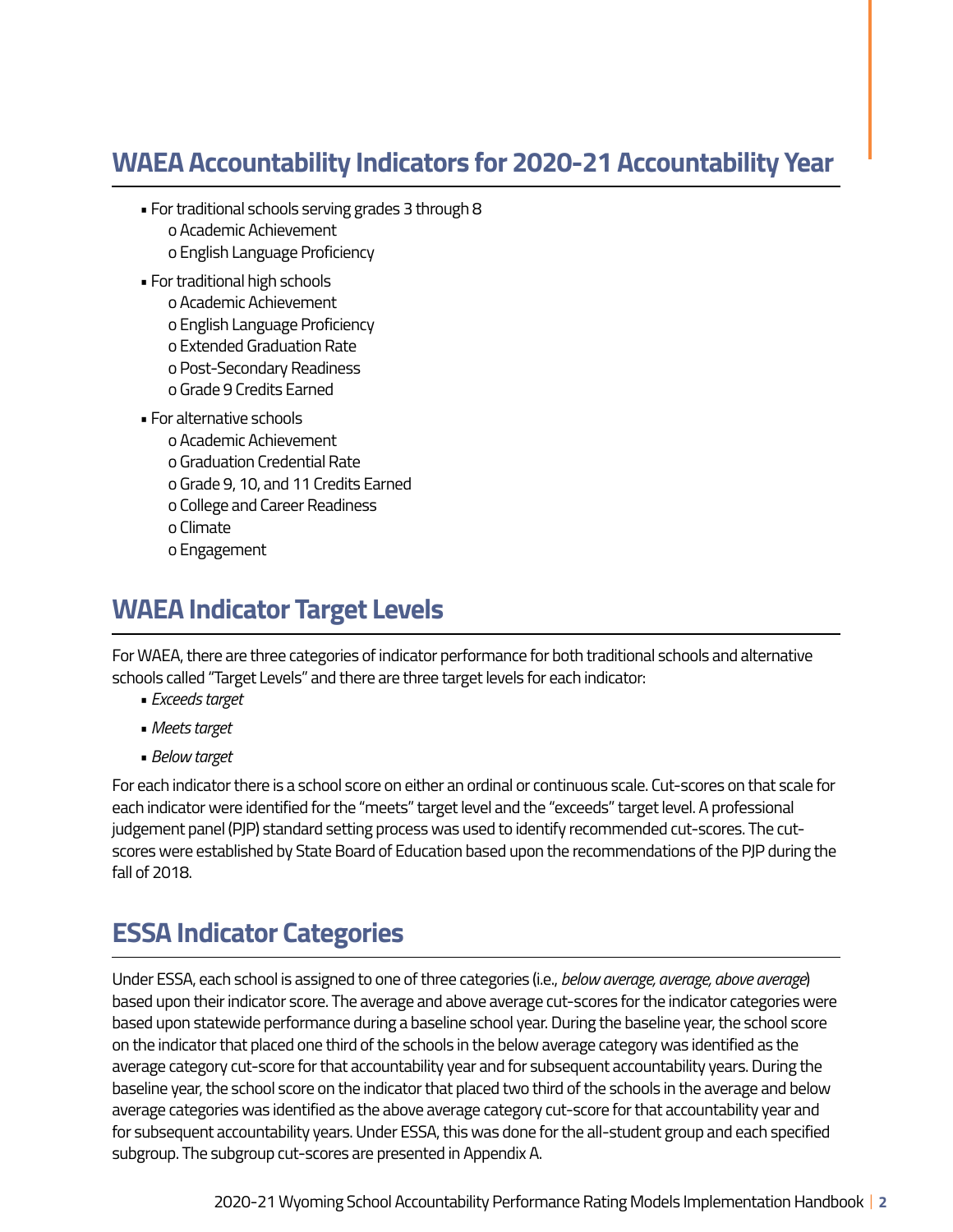# **WAEA Accountability Indicators for 2020-21 Accountability Year**

- For traditional schools serving grades 3 through 8 o Academic Achievement o English Language Proficiency
- For traditional high schools
	- o Academic Achievement
	- o English Language Proficiency
	- o Extended Graduation Rate
	- o Post-Secondary Readiness
	- o Grade 9 Credits Earned
- For alternative schools
	- o Academic Achievement
	- o Graduation Credential Rate
	- o Grade 9, 10, and 11 Credits Earned
	- o College and Career Readiness
	- o Climate
	- o Engagement

# **WAEA Indicator Target Levels**

For WAEA, there are three categories of indicator performance for both traditional schools and alternative schools called "Target Levels" and there are three target levels for each indicator:

- *Exceeds target*
- *Meets target*
- *Below target*

For each indicator there is a school score on either an ordinal or continuous scale. Cut-scores on that scale for each indicator were identified for the "meets" target level and the "exceeds" target level. A professional judgement panel (PJP) standard setting process was used to identify recommended cut-scores. The cutscores were established by State Board of Education based upon the recommendations of the PJP during the fall of 2018.

# **ESSA Indicator Categories**

Under ESSA, each school is assigned to one of three categories (i.e., *below average, average, above average*) based upon their indicator score. The average and above average cut-scores for the indicator categories were based upon statewide performance during a baseline school year. During the baseline year, the school score on the indicator that placed one third of the schools in the below average category was identified as the average category cut-score for that accountability year and for subsequent accountability years. During the baseline year, the school score on the indicator that placed two third of the schools in the average and below average categories was identified as the above average category cut-score for that accountability year and for subsequent accountability years. Under ESSA, this was done for the all-student group and each specified subgroup. The subgroup cut-scores are presented in Appendix A.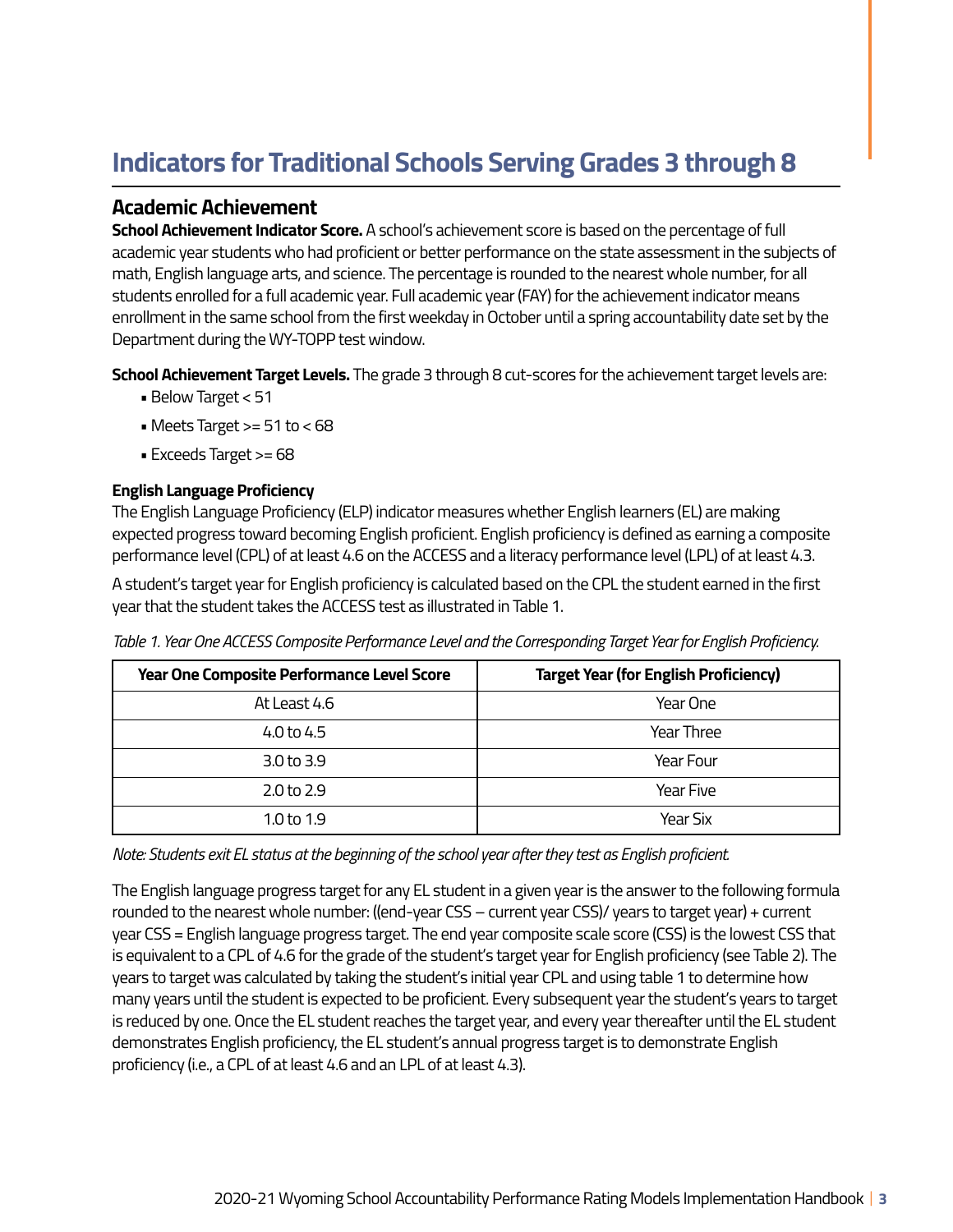# **Indicators for Traditional Schools Serving Grades 3 through 8**

### **Academic Achievement**

**School Achievement Indicator Score.** A school's achievement score is based on the percentage of full academic year students who had proficient or better performance on the state assessment in the subjects of math, English language arts, and science. The percentage is rounded to the nearest whole number, for all students enrolled for a full academic year. Full academic year (FAY) for the achievement indicator means enrollment in the same school from the first weekday in October until a spring accountability date set by the Department during the WY-TOPP test window.

**School Achievement Target Levels.** The grade 3 through 8 cut-scores for the achievement target levels are:

- Below Target < 51
- Meets Target >= 51 to < 68
- Exceeds Target >= 68

### **English Language Proficiency**

The English Language Proficiency (ELP) indicator measures whether English learners (EL) are making expected progress toward becoming English proficient. English proficiency is defined as earning a composite performance level (CPL) of at least 4.6 on the ACCESS and a literacy performance level (LPL) of at least 4.3.

A student's target year for English proficiency is calculated based on the CPL the student earned in the first year that the student takes the ACCESS test as illustrated in Table 1.

| Year One Composite Performance Level Score | <b>Target Year (for English Proficiency)</b> |
|--------------------------------------------|----------------------------------------------|
| At Least 4.6                               | Year One                                     |
| 4.0 to 4.5                                 | Year Three                                   |
| 3.0 to 3.9                                 | Year Four                                    |
| 2.0 <sub>to</sub> 2.9                      | Year Five                                    |
| 1.0 to 1.9                                 | Year Six                                     |

*Table 1. Year One ACCESS Composite Performance Level and the Corresponding Target Year for English Proficiency.* 

*Note: Students exit EL status at the beginning of the school year after they test as English proficient.* 

The English language progress target for any EL student in a given year is the answer to the following formula rounded to the nearest whole number: ((end-year CSS – current year CSS)/ years to target year) + current year CSS = English language progress target. The end year composite scale score (CSS) is the lowest CSS that is equivalent to a CPL of 4.6 for the grade of the student's target year for English proficiency (see Table 2). The years to target was calculated by taking the student's initial year CPL and using table 1 to determine how many years until the student is expected to be proficient. Every subsequent year the student's years to target is reduced by one. Once the EL student reaches the target year, and every year thereafter until the EL student demonstrates English proficiency, the EL student's annual progress target is to demonstrate English proficiency (i.e., a CPL of at least 4.6 and an LPL of at least 4.3).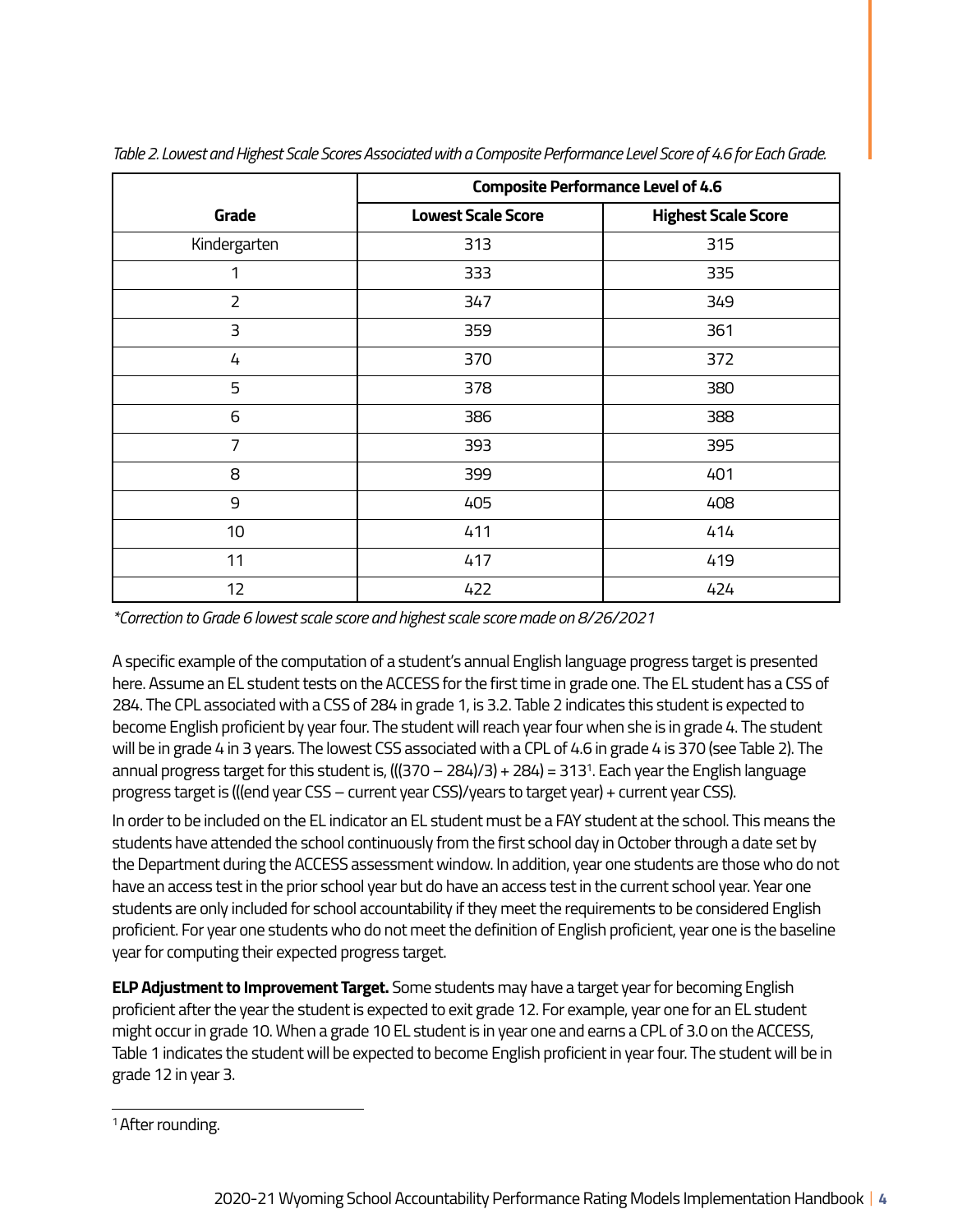|                | <b>Composite Performance Level of 4.6</b> |                            |  |  |
|----------------|-------------------------------------------|----------------------------|--|--|
| Grade          | <b>Lowest Scale Score</b>                 | <b>Highest Scale Score</b> |  |  |
| Kindergarten   | 313                                       | 315                        |  |  |
| 1              | 333                                       | 335                        |  |  |
| $\overline{2}$ | 347                                       | 349                        |  |  |
| 3              | 359                                       | 361                        |  |  |
| 4              | 370                                       | 372                        |  |  |
| 5              | 378                                       | 380                        |  |  |
| 6              | 386                                       | 388                        |  |  |
| 7              | 393                                       | 395                        |  |  |
| 8              | 399                                       | 401                        |  |  |
| 9              | 405                                       | 408                        |  |  |
| 10             | 411                                       | 414                        |  |  |
| 11             | 417                                       | 419                        |  |  |
| 12             | 422                                       | 424                        |  |  |

*Table 2. Lowest and Highest Scale Scores Associated with a Composite Performance Level Score of 4.6 for Each Grade.* 

*\*Correction to Grade 6 lowest scale score and highest scale score made on 8/26/2021* 

A specific example of the computation of a student's annual English language progress target is presented here. Assume an EL student tests on the ACCESS for the first time in grade one. The EL student has a CSS of 284. The CPL associated with a CSS of 284 in grade 1, is 3.2. Table 2 indicates this student is expected to become English proficient by year four. The student will reach year four when she is in grade 4. The student will be in grade 4 in 3 years. The lowest CSS associated with a CPL of 4.6 in grade 4 is 370 (see Table 2). The annual progress target for this student is,  $(((370 - 284)/3) + 284) = 313<sup>1</sup>$ . Each year the English language progress target is (((end year CSS – current year CSS)/years to target year) + current year CSS).

In order to be included on the EL indicator an EL student must be a FAY student at the school. This means the students have attended the school continuously from the first school day in October through a date set by the Department during the ACCESS assessment window. In addition, year one students are those who do not have an access test in the prior school year but do have an access test in the current school year. Year one students are only included for school accountability if they meet the requirements to be considered English proficient. For year one students who do not meet the definition of English proficient, year one is the baseline year for computing their expected progress target.

**ELP Adjustment to Improvement Target.** Some students may have a target year for becoming English proficient after the year the student is expected to exit grade 12. For example, year one for an EL student might occur in grade 10. When a grade 10 EL student is in year one and earns a CPL of 3.0 on the ACCESS, Table 1 indicates the student will be expected to become English proficient in year four. The student will be in grade 12 in year 3.

<sup>1</sup> After rounding.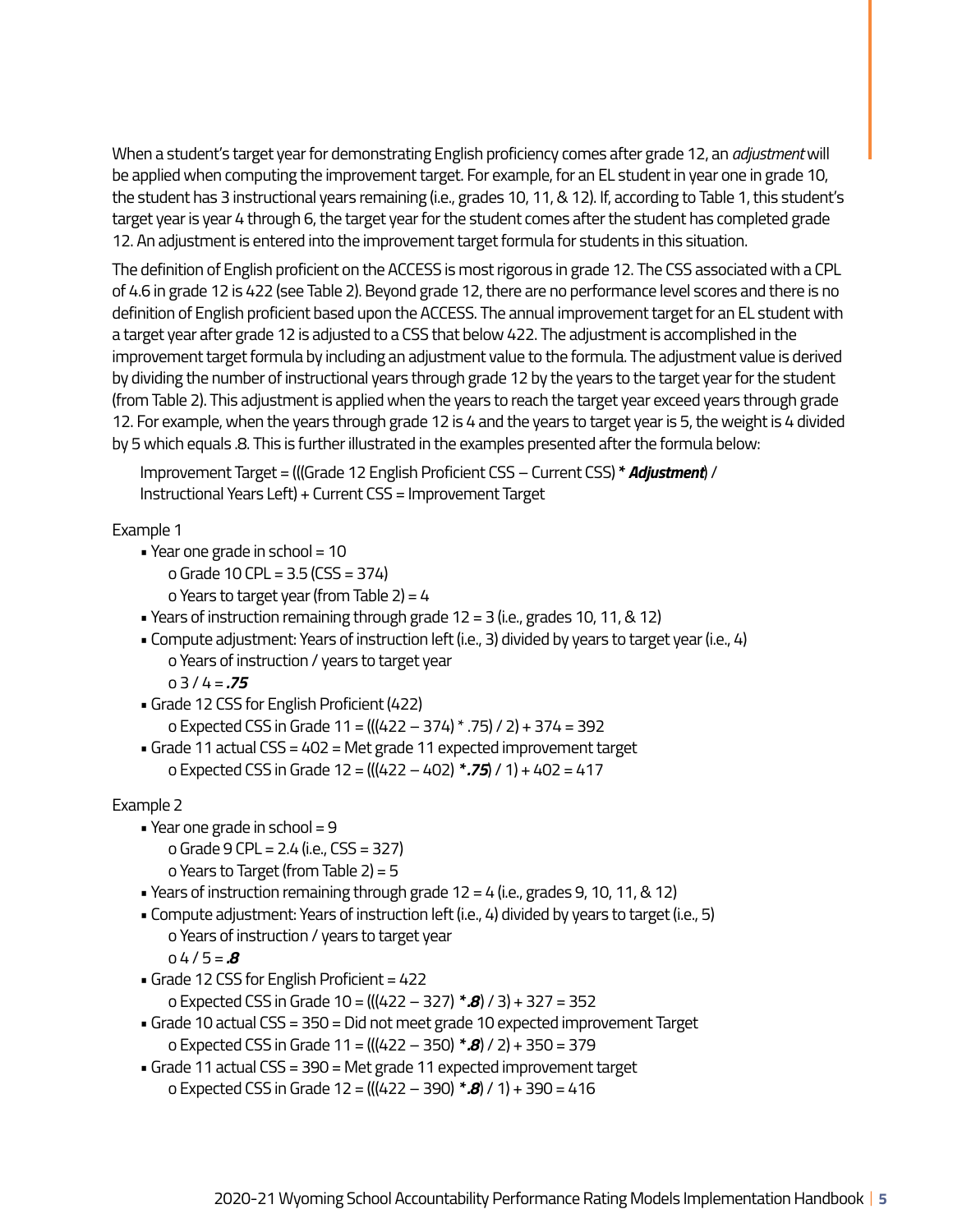When a student's target year for demonstrating English proficiency comes after grade 12, an *adjustment* will be applied when computing the improvement target. For example, for an EL student in year one in grade 10, the student has 3 instructional years remaining (i.e., grades 10, 11, & 12). If, according to Table 1, this student's target year is year 4 through 6, the target year for the student comes after the student has completed grade 12. An adjustment is entered into the improvement target formula for students in this situation.

The definition of English proficient on the ACCESS is most rigorous in grade 12. The CSS associated with a CPL of 4.6 in grade 12 is 422 (see Table 2). Beyond grade 12, there are no performance level scores and there is no definition of English proficient based upon the ACCESS. The annual improvement target for an EL student with a target year after grade 12 is adjusted to a CSS that below 422. The adjustment is accomplished in the improvement target formula by including an adjustment value to the formula. The adjustment value is derived by dividing the number of instructional years through grade 12 by the years to the target year for the student (from Table 2). This adjustment is applied when the years to reach the target year exceed years through grade 12. For example, when the years through grade 12 is 4 and the years to target year is 5, the weight is 4 divided by 5 which equals .8. This is further illustrated in the examples presented after the formula below:

Improvement Target = (((Grade 12 English Proficient CSS – Current CSS) **\*** *Adjustment*) / Instructional Years Left) + Current CSS = Improvement Target

Example 1

- Year one grade in school = 10
	- o Grade 10 CPL = 3.5 (CSS = 374)
	- o Years to target year (from Table 2) = 4
- Years of instruction remaining through grade  $12 = 3$  (i.e., grades 10, 11, & 12)
- Compute adjustment: Years of instruction left (i.e., 3) divided by years to target year (i.e., 4) o Years of instruction / years to target year o 3 / 4 = *.75*
- Grade 12 CSS for English Proficient (422) o Expected CSS in Grade 11 = (((422 – 374) \* .75) / 2) + 374 = 392
- Grade 11 actual CSS = 402 = Met grade 11 expected improvement target o Expected CSS in Grade 12 = (((422 – 402) *\* .75*) / 1) + 402 = 417

Example 2

- Year one grade in school  $= 9$ 
	- o Grade 9 CPL = 2.4 (i.e., CSS = 327)
	- o Years to Target (from Table 2) = 5
- Years of instruction remaining through grade  $12 = 4$  (i.e., grades 9, 10, 11, & 12)
- Compute adjustment: Years of instruction left (i.e., 4) divided by years to target (i.e., 5) o Years of instruction / years to target year
	- $04/5 = .8$
- Grade 12 CSS for English Proficient = 422 o Expected CSS in Grade 10 = (((422 – 327) *\* .8*) / 3) + 327 = 352
- Grade 10 actual CSS = 350 = Did not meet grade 10 expected improvement Target o Expected CSS in Grade 11 = (((422 – 350) *\* .8*) / 2) + 350 = 379
- Grade 11 actual CSS = 390 = Met grade 11 expected improvement target o Expected CSS in Grade 12 = (((422 – 390) *\* .8*) / 1) + 390 = 416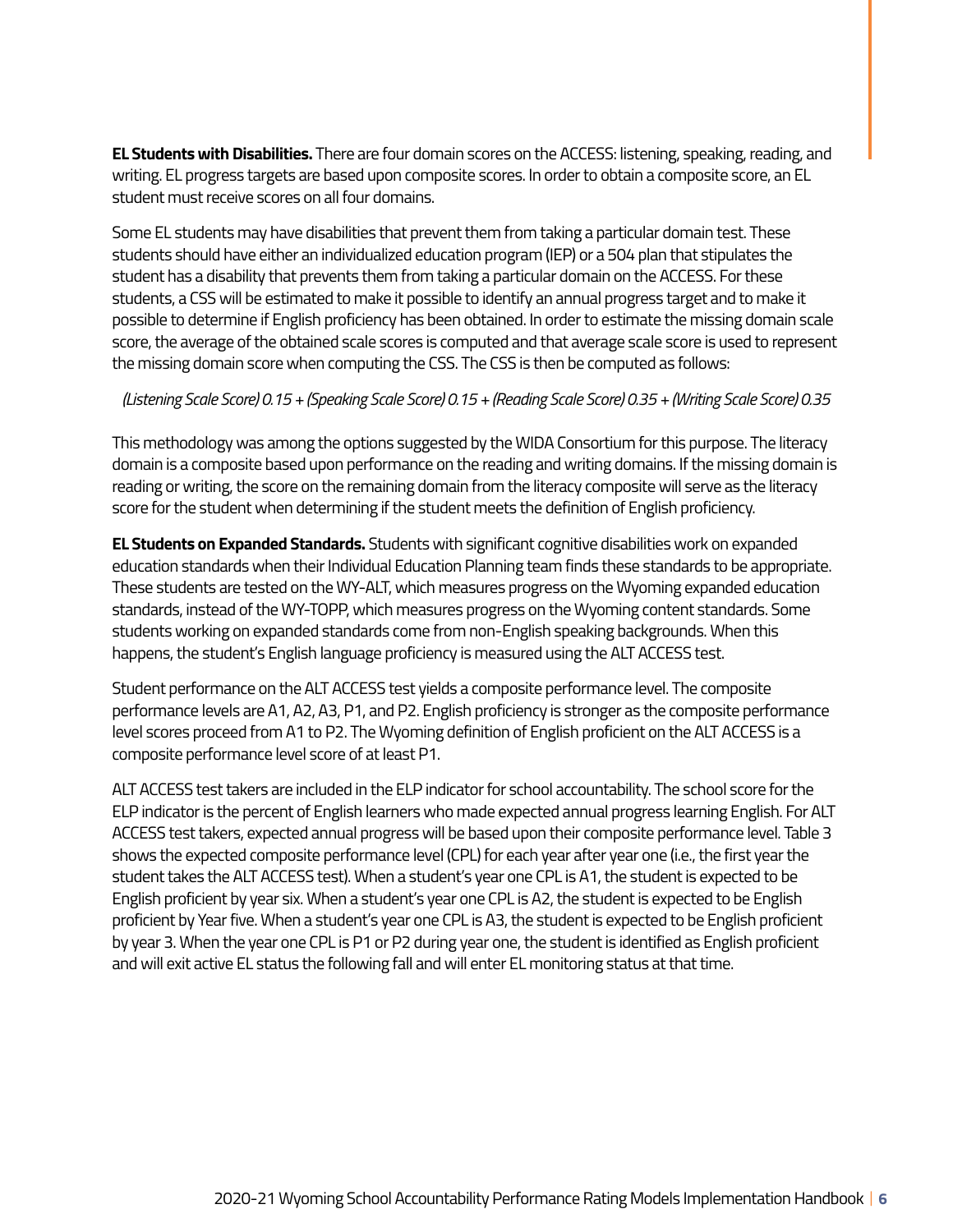**EL Students with Disabilities.** There are four domain scores on the ACCESS: listening, speaking, reading, and writing. EL progress targets are based upon composite scores. In order to obtain a composite score, an EL student must receive scores on all four domains.

Some EL students may have disabilities that prevent them from taking a particular domain test. These students should have either an individualized education program (IEP) or a 504 plan that stipulates the student has a disability that prevents them from taking a particular domain on the ACCESS. For these students, a CSS will be estimated to make it possible to identify an annual progress target and to make it possible to determine if English proficiency has been obtained. In order to estimate the missing domain scale score, the average of the obtained scale scores is computed and that average scale score is used to represent the missing domain score when computing the CSS. The CSS is then be computed as follows:

### *(Listening Scale Score) 0.15 + (Speaking Scale Score) 0.15 + (Reading Scale Score) 0.35 + (Writing Scale Score) 0.35*

This methodology was among the options suggested by the WIDA Consortium for this purpose. The literacy domain is a composite based upon performance on the reading and writing domains. If the missing domain is reading or writing, the score on the remaining domain from the literacy composite will serve as the literacy score for the student when determining if the student meets the definition of English proficiency.

**EL Students on Expanded Standards.** Students with significant cognitive disabilities work on expanded education standards when their Individual Education Planning team finds these standards to be appropriate. These students are tested on the WY-ALT, which measures progress on the Wyoming expanded education standards, instead of the WY-TOPP, which measures progress on the Wyoming content standards. Some students working on expanded standards come from non-English speaking backgrounds. When this happens, the student's English language proficiency is measured using the ALT ACCESS test.

Student performance on the ALT ACCESS test yields a composite performance level. The composite performance levels are A1, A2, A3, P1, and P2. English proficiency is stronger as the composite performance level scores proceed from A1 to P2. The Wyoming definition of English proficient on the ALT ACCESS is a composite performance level score of at least P1.

ALT ACCESS test takers are included in the ELP indicator for school accountability. The school score for the ELP indicator is the percent of English learners who made expected annual progress learning English. For ALT ACCESS test takers, expected annual progress will be based upon their composite performance level. Table 3 shows the expected composite performance level (CPL) for each year after year one (i.e., the first year the student takes the ALT ACCESS test). When a student's year one CPL is A1, the student is expected to be English proficient by year six. When a student's year one CPL is A2, the student is expected to be English proficient by Year five. When a student's year one CPL is A3, the student is expected to be English proficient by year 3. When the year one CPL is P1 or P2 during year one, the student is identified as English proficient and will exit active EL status the following fall and will enter EL monitoring status at that time.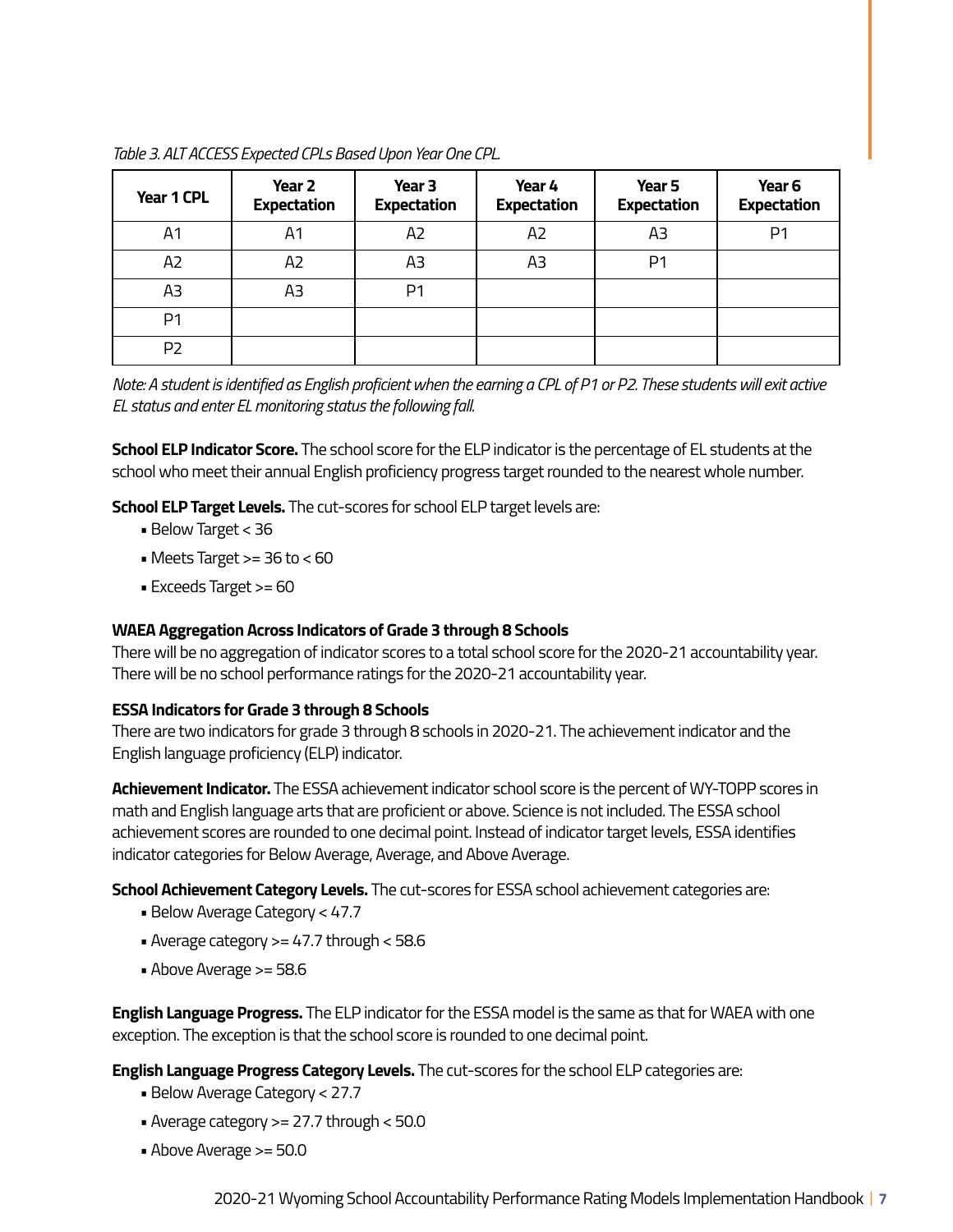| Year 1 CPL     | Year 2<br><b>Expectation</b> | Year <sub>3</sub><br><b>Expectation</b> | Year 4<br><b>Expectation</b> | Year 5<br><b>Expectation</b> | Year <sub>6</sub><br><b>Expectation</b> |
|----------------|------------------------------|-----------------------------------------|------------------------------|------------------------------|-----------------------------------------|
| A1             | A1                           | A <sub>2</sub>                          | A <sub>2</sub>               | A3                           | P <sub>1</sub>                          |
| A <sub>2</sub> | A2                           | A3                                      | A3                           | P <sub>1</sub>               |                                         |
| A3             | AЗ                           | P <sub>1</sub>                          |                              |                              |                                         |
| P <sub>1</sub> |                              |                                         |                              |                              |                                         |
| P <sub>2</sub> |                              |                                         |                              |                              |                                         |

*Table 3. ALT ACCESS Expected CPLs Based Upon Year One CPL.* 

*Note: A student is identified as English proficient when the earning a CPL of P1 or P2. These students will exit active EL status and enter EL monitoring status the following fall.* 

**School ELP Indicator Score.** The school score for the ELP indicator is the percentage of EL students at the school who meet their annual English proficiency progress target rounded to the nearest whole number.

**School ELP Target Levels.** The cut-scores for school ELP target levels are:

- Below Target < 36
- Meets Target  $>= 36$  to  $< 60$
- Exceeds Target >= 60

#### **WAEA Aggregation Across Indicators of Grade 3 through 8 Schools**

There will be no aggregation of indicator scores to a total school score for the 2020-21 accountability year. There will be no school performance ratings for the 2020-21 accountability year.

#### **ESSA Indicators for Grade 3 through 8 Schools**

There are two indicators for grade 3 through 8 schools in 2020-21. The achievement indicator and the English language proficiency (ELP) indicator.

**Achievement Indicator.** The ESSA achievement indicator school score is the percent of WY-TOPP scores in math and English language arts that are proficient or above. Science is not included. The ESSA school achievement scores are rounded to one decimal point. Instead of indicator target levels, ESSA identifies indicator categories for Below Average, Average, and Above Average.

**School Achievement Category Levels.** The cut-scores for ESSA school achievement categories are:

- Below Average Category < 47.7
- Average category >= 47.7 through < 58.6
- Above Average >= 58.6

**English Language Progress.** The ELP indicator for the ESSA model is the same as that for WAEA with one exception. The exception is that the school score is rounded to one decimal point.

**English Language Progress Category Levels.** The cut-scores for the school ELP categories are:

- Below Average Category < 27.7
- Average category >= 27.7 through < 50.0
- Above Average >= 50.0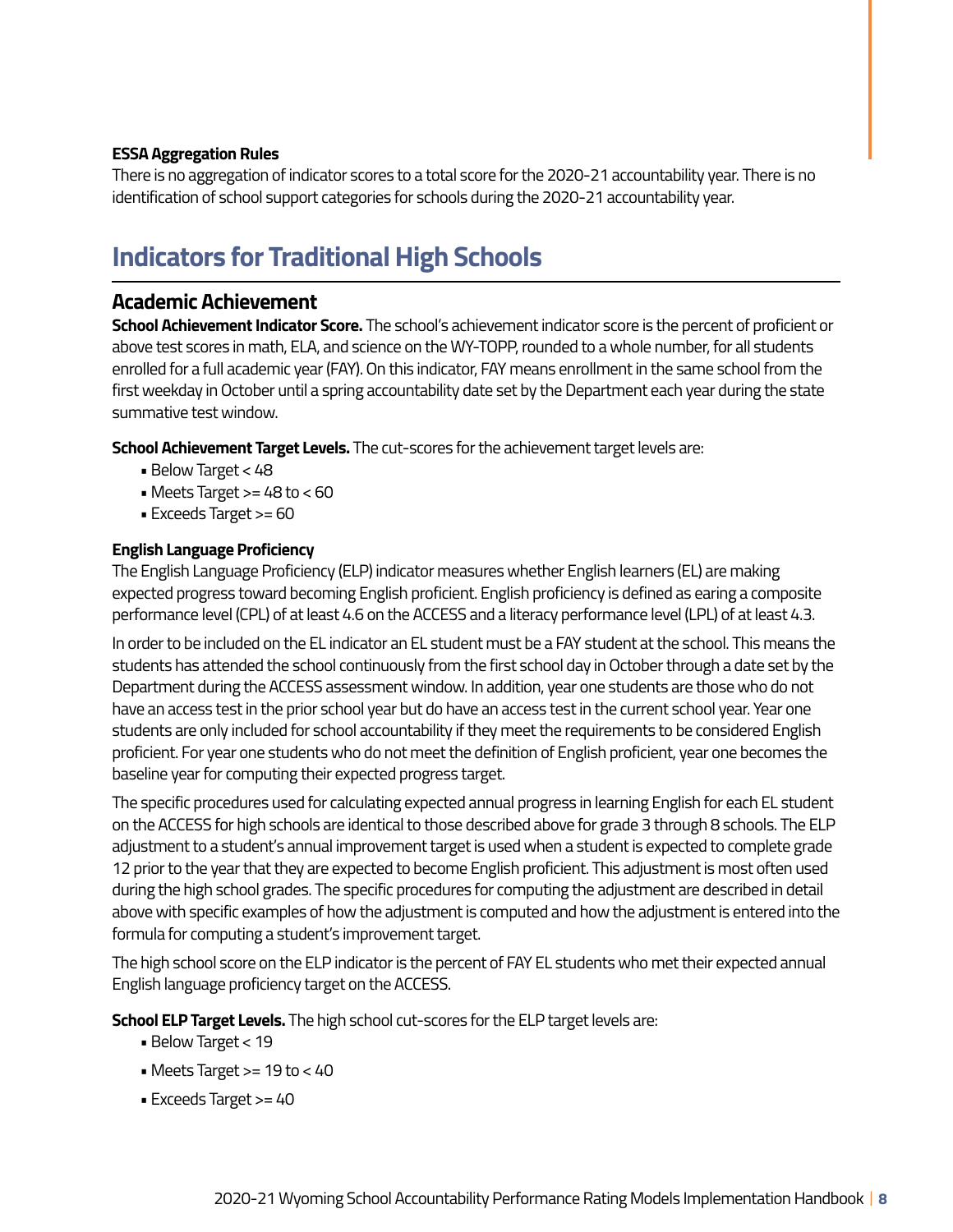### **ESSA Aggregation Rules**

There is no aggregation of indicator scores to a total score for the 2020-21 accountability year. There is no identification of school support categories for schools during the 2020-21 accountability year.

# **Indicators for Traditional High Schools**

### **Academic Achievement**

**School Achievement Indicator Score.** The school's achievement indicator score is the percent of proficient or above test scores in math, ELA, and science on the WY-TOPP, rounded to a whole number, for all students enrolled for a full academic year (FAY). On this indicator, FAY means enrollment in the same school from the first weekday in October until a spring accountability date set by the Department each year during the state summative test window.

**School Achievement Target Levels.** The cut-scores for the achievement target levels are:

- Below Target < 48
- Meets Target  $>= 48$  to  $< 60$
- Exceeds Target >= 60

### **English Language Proficiency**

The English Language Proficiency (ELP) indicator measures whether English learners (EL) are making expected progress toward becoming English proficient. English proficiency is defined as earing a composite performance level (CPL) of at least 4.6 on the ACCESS and a literacy performance level (LPL) of at least 4.3.

In order to be included on the EL indicator an EL student must be a FAY student at the school. This means the students has attended the school continuously from the first school day in October through a date set by the Department during the ACCESS assessment window. In addition, year one students are those who do not have an access test in the prior school year but do have an access test in the current school year. Year one students are only included for school accountability if they meet the requirements to be considered English proficient. For year one students who do not meet the definition of English proficient, year one becomes the baseline year for computing their expected progress target.

The specific procedures used for calculating expected annual progress in learning English for each EL student on the ACCESS for high schools are identical to those described above for grade 3 through 8 schools. The ELP adjustment to a student's annual improvement target is used when a student is expected to complete grade 12 prior to the year that they are expected to become English proficient. This adjustment is most often used during the high school grades. The specific procedures for computing the adjustment are described in detail above with specific examples of how the adjustment is computed and how the adjustment is entered into the formula for computing a student's improvement target.

The high school score on the ELP indicator is the percent of FAY EL students who met their expected annual English language proficiency target on the ACCESS.

**School ELP Target Levels.** The high school cut-scores for the ELP target levels are:

- Below Target < 19
- Meets Target  $>= 19$  to  $< 40$
- Exceeds Target >= 40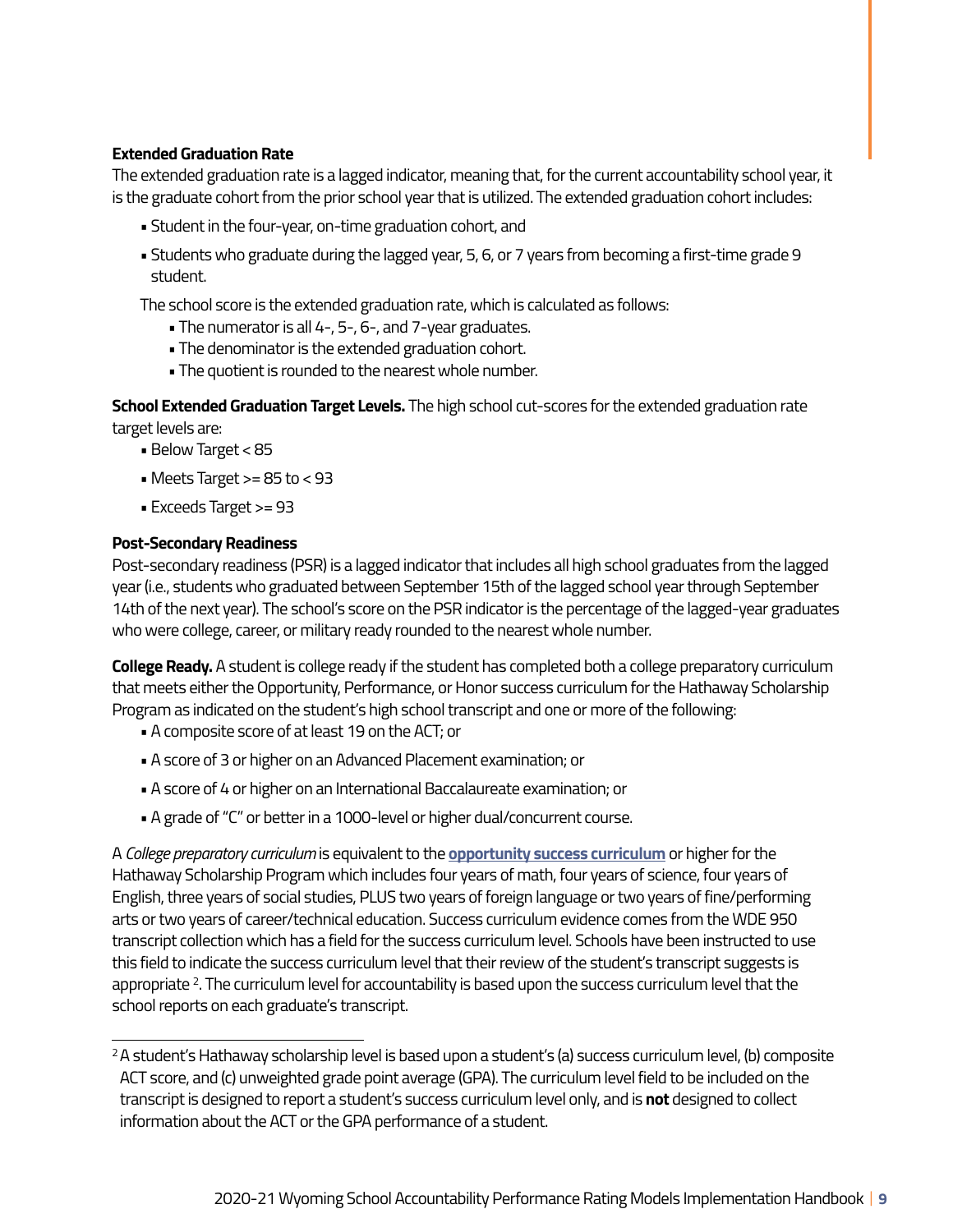### **Extended Graduation Rate**

The extended graduation rate is a lagged indicator, meaning that, for the current accountability school year, it is the graduate cohort from the prior school year that is utilized. The extended graduation cohort includes:

- Student in the four-year, on-time graduation cohort, and
- Students who graduate during the lagged year, 5, 6, or 7 years from becoming a first-time grade 9 student.

The school score is the extended graduation rate, which is calculated as follows:

- The numerator is all 4-, 5-, 6-, and 7-year graduates.
- The denominator is the extended graduation cohort.
- The quotient is rounded to the nearest whole number.

**School Extended Graduation Target Levels.** The high school cut-scores for the extended graduation rate target levels are:

- Below Target < 85
- $\bullet$  Meets Target >= 85 to < 93
- Exceeds Target >= 93

#### **Post-Secondary Readiness**

Post-secondary readiness (PSR) is a lagged indicator that includes all high school graduates from the lagged year (i.e., students who graduated between September 15th of the lagged school year through September 14th of the next year). The school's score on the PSR indicator is the percentage of the lagged-year graduates who were college, career, or military ready rounded to the nearest whole number.

**College Ready.** A student is college ready if the student has completed both a college preparatory curriculum that meets either the Opportunity, Performance, or Honor success curriculum for the Hathaway Scholarship Program as indicated on the student's high school transcript and one or more of the following:

- A composite score of at least 19 on the ACT; or
- A score of 3 or higher on an Advanced Placement examination; or
- A score of 4 or higher on an International Baccalaureate examination; or
- A grade of "C" or better in a 1000-level or higher dual/concurrent course.

A *College preparatory curriculum* is equivalent to the **[opportunity success curriculum](https://hathawayscholarship.org/bin/eligibility-requirements/)** or higher for the Hathaway Scholarship Program which includes four years of math, four years of science, four years of English, three years of social studies, PLUS two years of foreign language or two years of fine/performing arts or two years of career/technical education. Success curriculum evidence comes from the WDE 950 transcript collection which has a field for the success curriculum level. Schools have been instructed to use this field to indicate the success curriculum level that their review of the student's transcript suggests is appropriate <sup>2</sup>. The curriculum level for accountability is based upon the success curriculum level that the school reports on each graduate's transcript.

 2A student's Hathaway scholarship level is based upon a student's (a) success curriculum level, (b) composite ACT score, and (c) unweighted grade point average (GPA). The curriculum level field to be included on the transcript is designed to report a student's success curriculum level only, and is **not** designed to collect information about the ACT or the GPA performance of a student.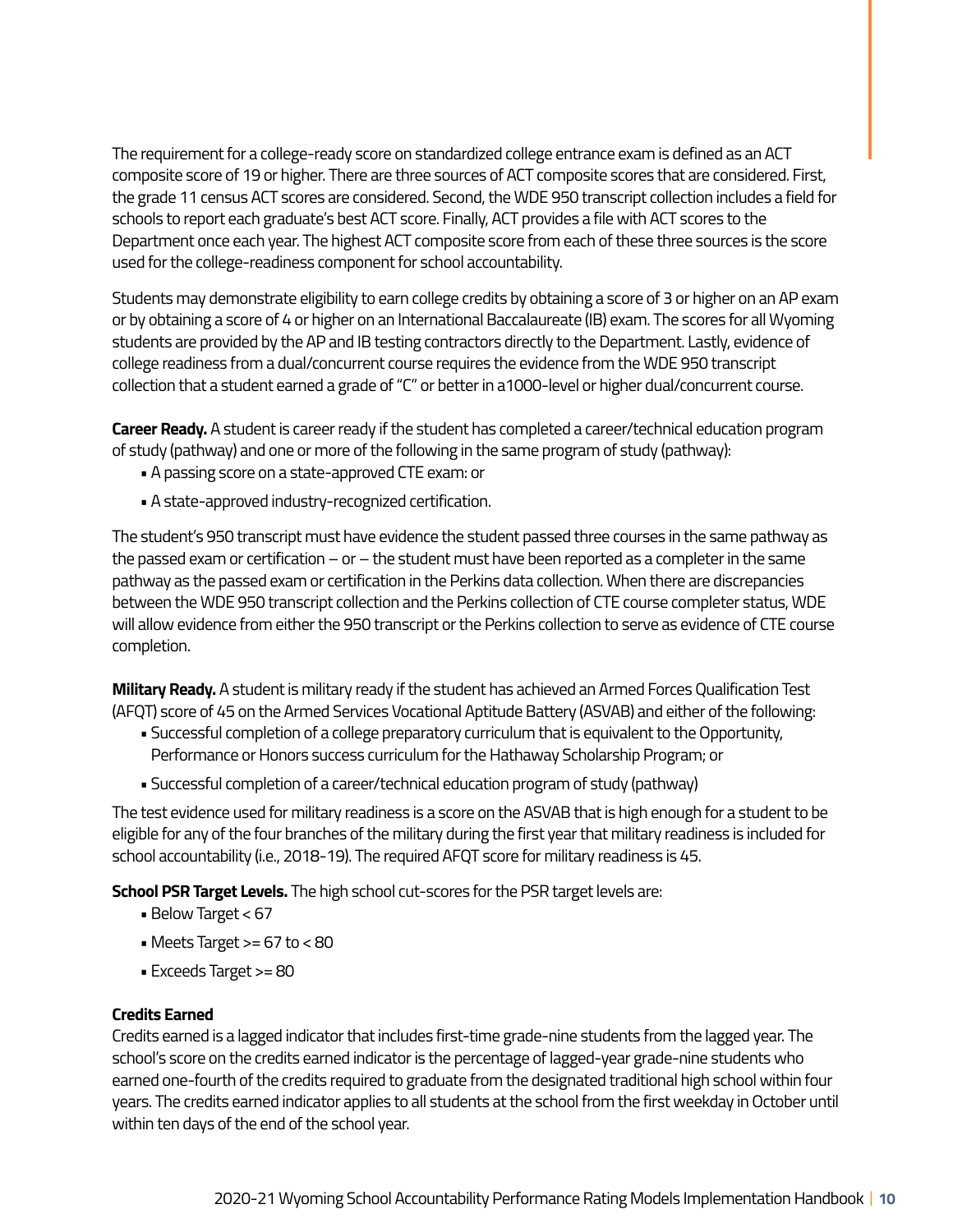The requirement for a college-ready score on standardized college entrance exam is defined as an ACT composite score of 19 or higher. There are three sources of ACT composite scores that are considered. First, the grade 11 census ACT scores are considered. Second, the WDE 950 transcript collection includes a field for schools to report each graduate's best ACT score. Finally, ACT provides a file with ACT scores to the Department once each year. The highest ACT composite score from each of these three sources is the score used for the college-readiness component for school accountability.

Students may demonstrate eligibility to earn college credits by obtaining a score of 3 or higher on an AP exam or by obtaining a score of 4 or higher on an International Baccalaureate (IB) exam. The scores for all Wyoming students are provided by the AP and IB testing contractors directly to the Department. Lastly, evidence of college readiness from a dual/concurrent course requires the evidence from the WDE 950 transcript collection that a student earned a grade of "C" or better in a1000-level or higher dual/concurrent course.

**Career Ready.** A student is career ready if the student has completed a career/technical education program of study (pathway) and one or more of the following in the same program of study (pathway):

- A passing score on a state-approved CTE exam: or
- A state-approved industry-recognized certification.

The student's 950 transcript must have evidence the student passed three courses in the same pathway as the passed exam or certification – or – the student must have been reported as a completer in the same pathway as the passed exam or certification in the Perkins data collection. When there are discrepancies between the WDE 950 transcript collection and the Perkins collection of CTE course completer status, WDE will allow evidence from either the 950 transcript or the Perkins collection to serve as evidence of CTE course completion.

**Military Ready.** A student is military ready if the student has achieved an Armed Forces Qualification Test (AFQT) score of 45 on the Armed Services Vocational Aptitude Battery (ASVAB) and either of the following:

- Successful completion of a college preparatory curriculum that is equivalent to the Opportunity, Performance or Honors success curriculum for the Hathaway Scholarship Program; or
- Successful completion of a career/technical education program of study (pathway)

The test evidence used for military readiness is a score on the ASVAB that is high enough for a student to be eligible for any of the four branches of the military during the first year that military readiness is included for school accountability (i.e., 2018-19). The required AFQT score for military readiness is 45.

**School PSR Target Levels.** The high school cut-scores for the PSR target levels are:

- Below Target < 67
- Meets Target  $>= 67$  to  $< 80$
- Exceeds Target >= 80

#### **Credits Earned**

Credits earned is a lagged indicator that includes first-time grade-nine students from the lagged year. The school's score on the credits earned indicator is the percentage of lagged-year grade-nine students who earned one-fourth of the credits required to graduate from the designated traditional high school within four years. The credits earned indicator applies to all students at the school from the first weekday in October until within ten days of the end of the school year.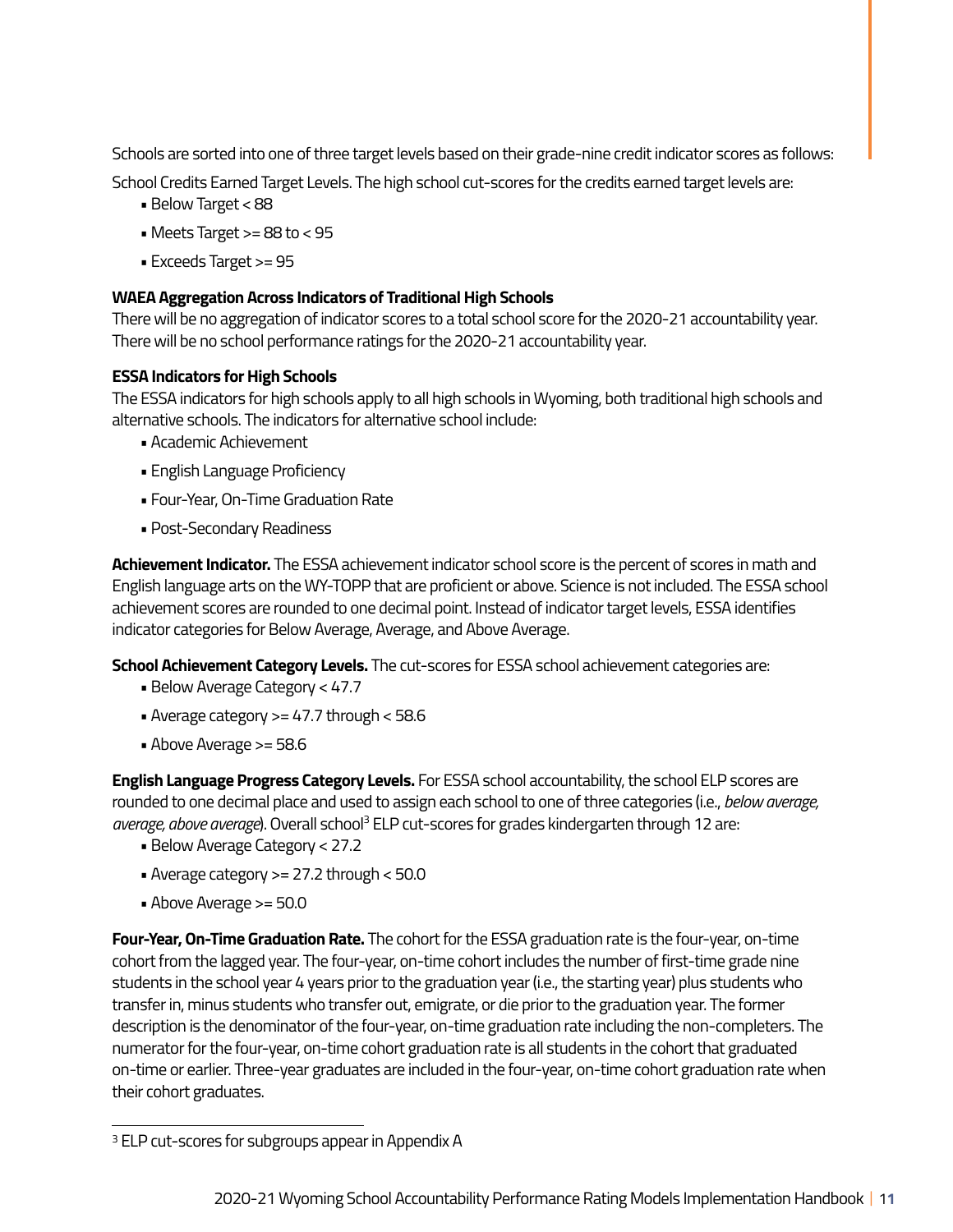Schools are sorted into one of three target levels based on their grade-nine credit indicator scores as follows:

School Credits Earned Target Levels. The high school cut-scores for the credits earned target levels are:

- Below Target < 88
- Meets Target  $>= 88$  to  $< 95$
- Exceeds Target >= 95

### **WAEA Aggregation Across Indicators of Traditional High Schools**

There will be no aggregation of indicator scores to a total school score for the 2020-21 accountability year. There will be no school performance ratings for the 2020-21 accountability year.

### **ESSA Indicators for High Schools**

The ESSA indicators for high schools apply to all high schools in Wyoming, both traditional high schools and alternative schools. The indicators for alternative school include:

- Academic Achievement
- English Language Proficiency
- Four-Year, On-Time Graduation Rate
- Post-Secondary Readiness

**Achievement Indicator.** The ESSA achievement indicator school score is the percent of scores in math and English language arts on the WY-TOPP that are proficient or above. Science is not included. The ESSA school achievement scores are rounded to one decimal point. Instead of indicator target levels, ESSA identifies indicator categories for Below Average, Average, and Above Average.

**School Achievement Category Levels.** The cut-scores for ESSA school achievement categories are:

- Below Average Category < 47.7
- Average category >= 47.7 through < 58.6
- Above Average >= 58.6

**English Language Progress Category Levels.** For ESSA school accountability, the school ELP scores are rounded to one decimal place and used to assign each school to one of three categories (i.e., *below average,*  average, above average). Overall school<sup>3</sup> ELP cut-scores for grades kindergarten through 12 are:

- Below Average Category < 27.2
- Average category >= 27.2 through < 50.0
- Above Average >= 50.0

**Four-Year, On-Time Graduation Rate.** The cohort for the ESSA graduation rate is the four-year, on-time cohort from the lagged year. The four-year, on-time cohort includes the number of first-time grade nine students in the school year 4 years prior to the graduation year (i.e., the starting year) plus students who transfer in, minus students who transfer out, emigrate, or die prior to the graduation year. The former description is the denominator of the four-year, on-time graduation rate including the non-completers. The numerator for the four-year, on-time cohort graduation rate is all students in the cohort that graduated on-time or earlier. Three-year graduates are included in the four-year, on-time cohort graduation rate when their cohort graduates.

<sup>&</sup>lt;sup>3</sup> ELP cut-scores for subgroups appear in Appendix A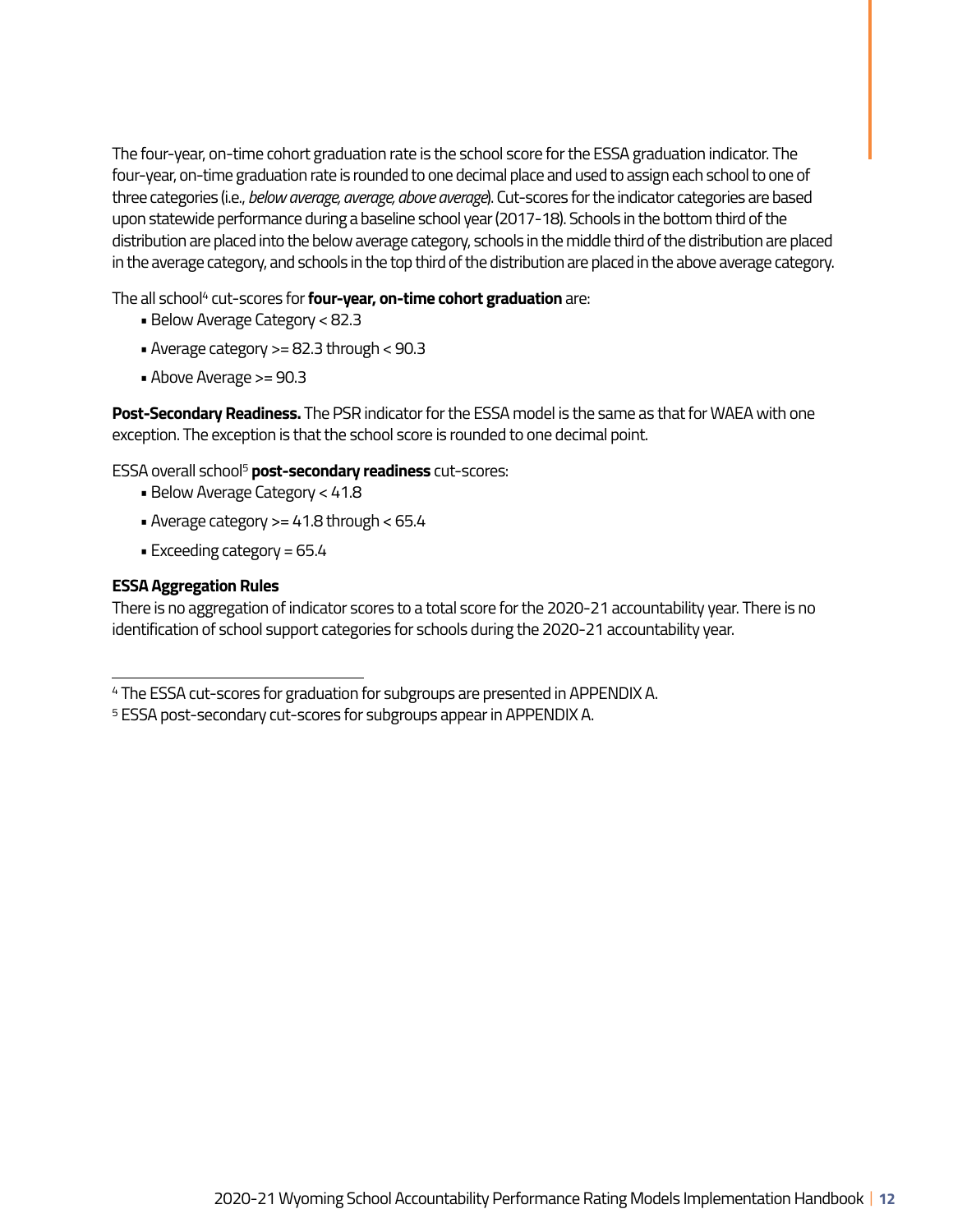The four-year, on-time cohort graduation rate is the school score for the ESSA graduation indicator. The four-year, on-time graduation rate is rounded to one decimal place and used to assign each school to one of three categories (i.e., *below average, average, above average*). Cut-scores for the indicator categories are based upon statewide performance during a baseline school year (2017-18). Schools in the bottom third of the distribution are placed into the below average category, schools in the middle third of the distribution are placed in the average category, and schools in the top third of the distribution are placed in the above average category.

The all school<sup>4</sup> cut-scores for **four-year, on-time cohort graduation** are:

- Below Average Category < 82.3
- Average category >= 82.3 through < 90.3
- Above Average >= 90.3

**Post-Secondary Readiness.** The PSR indicator for the ESSA model is the same as that for WAEA with one exception. The exception is that the school score is rounded to one decimal point.

ESSA overall school5 **post-secondary readiness** cut-scores:

- Below Average Category < 41.8
- Average category >= 41.8 through < 65.4
- Exceeding category = 65.4

#### **ESSA Aggregation Rules**

There is no aggregation of indicator scores to a total score for the 2020-21 accountability year. There is no identification of school support categories for schools during the 2020-21 accountability year.

<sup>4</sup> The ESSA cut-scores for graduation for subgroups are presented in APPENDIX A.

<sup>5</sup> ESSA post-secondary cut-scores for subgroups appear in APPENDIX A.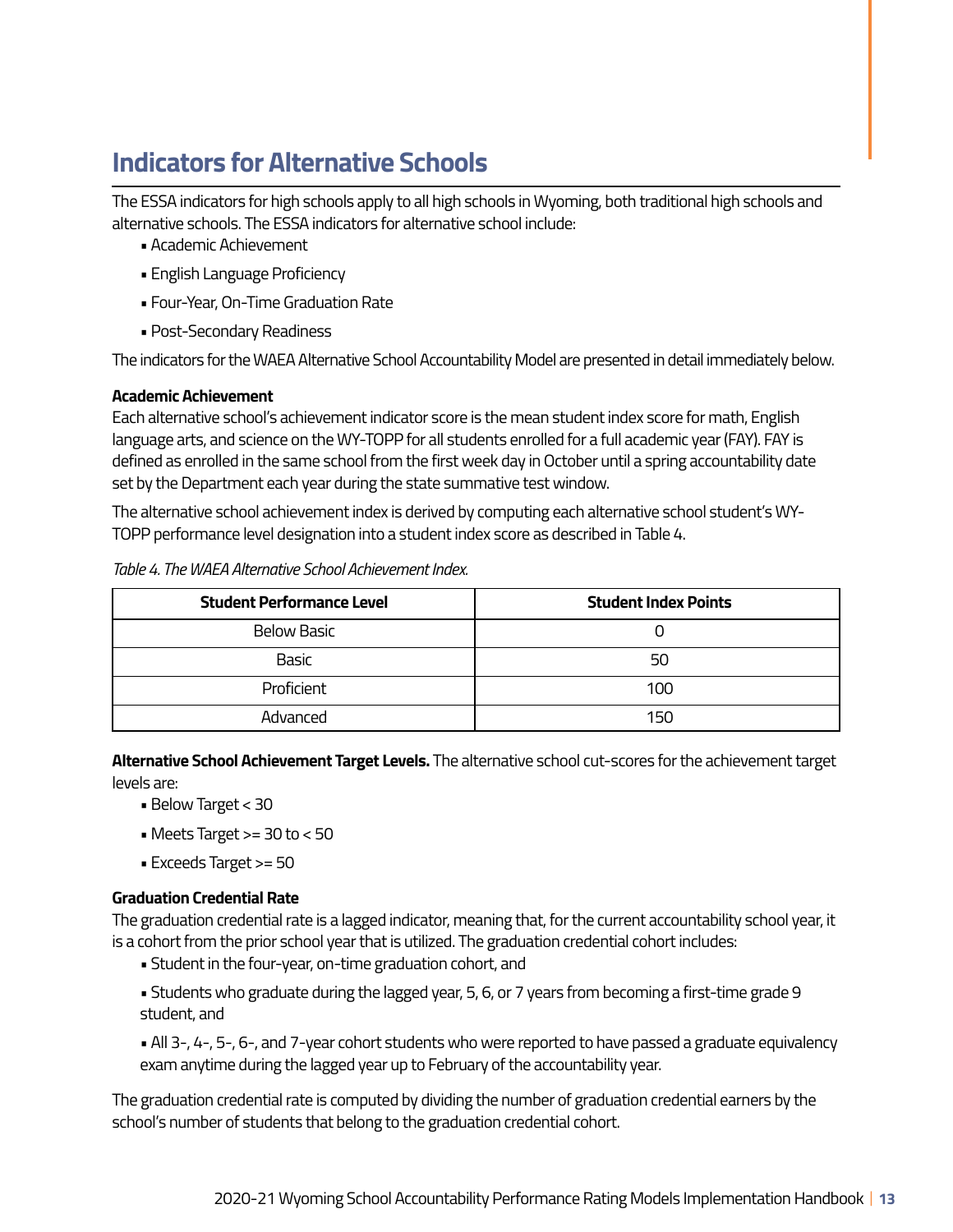# **Indicators for Alternative Schools**

The ESSA indicators for high schools apply to all high schools in Wyoming, both traditional high schools and alternative schools. The ESSA indicators for alternative school include:

- Academic Achievement
- English Language Proficiency
- Four-Year, On-Time Graduation Rate
- Post-Secondary Readiness

The indicators for the WAEA Alternative School Accountability Model are presented in detail immediately below.

#### **Academic Achievement**

Each alternative school's achievement indicator score is the mean student index score for math, English language arts, and science on the WY-TOPP for all students enrolled for a full academic year (FAY). FAY is defined as enrolled in the same school from the first week day in October until a spring accountability date set by the Department each year during the state summative test window.

The alternative school achievement index is derived by computing each alternative school student's WY-TOPP performance level designation into a student index score as described in Table 4.

| <b>Student Performance Level</b> | <b>Student Index Points</b> |
|----------------------------------|-----------------------------|
| <b>Below Basic</b>               |                             |
| <b>Basic</b>                     | 50                          |
| Proficient                       | 100                         |
| Advanced                         | 150                         |

#### *Table 4. The WAEA Alternative School Achievement Index.*

**Alternative School Achievement Target Levels.** The alternative school cut-scores for the achievement target levels are:

- Below Target < 30
- Meets Target >= 30 to < 50
- Exceeds Target >= 50

### **Graduation Credential Rate**

The graduation credential rate is a lagged indicator, meaning that, for the current accountability school year, it is a cohort from the prior school year that is utilized. The graduation credential cohort includes:

- Student in the four-year, on-time graduation cohort, and
- Students who graduate during the lagged year, 5, 6, or 7 years from becoming a first-time grade 9 student, and
- All 3-, 4-, 5-, 6-, and 7-year cohort students who were reported to have passed a graduate equivalency exam anytime during the lagged year up to February of the accountability year.

The graduation credential rate is computed by dividing the number of graduation credential earners by the school's number of students that belong to the graduation credential cohort.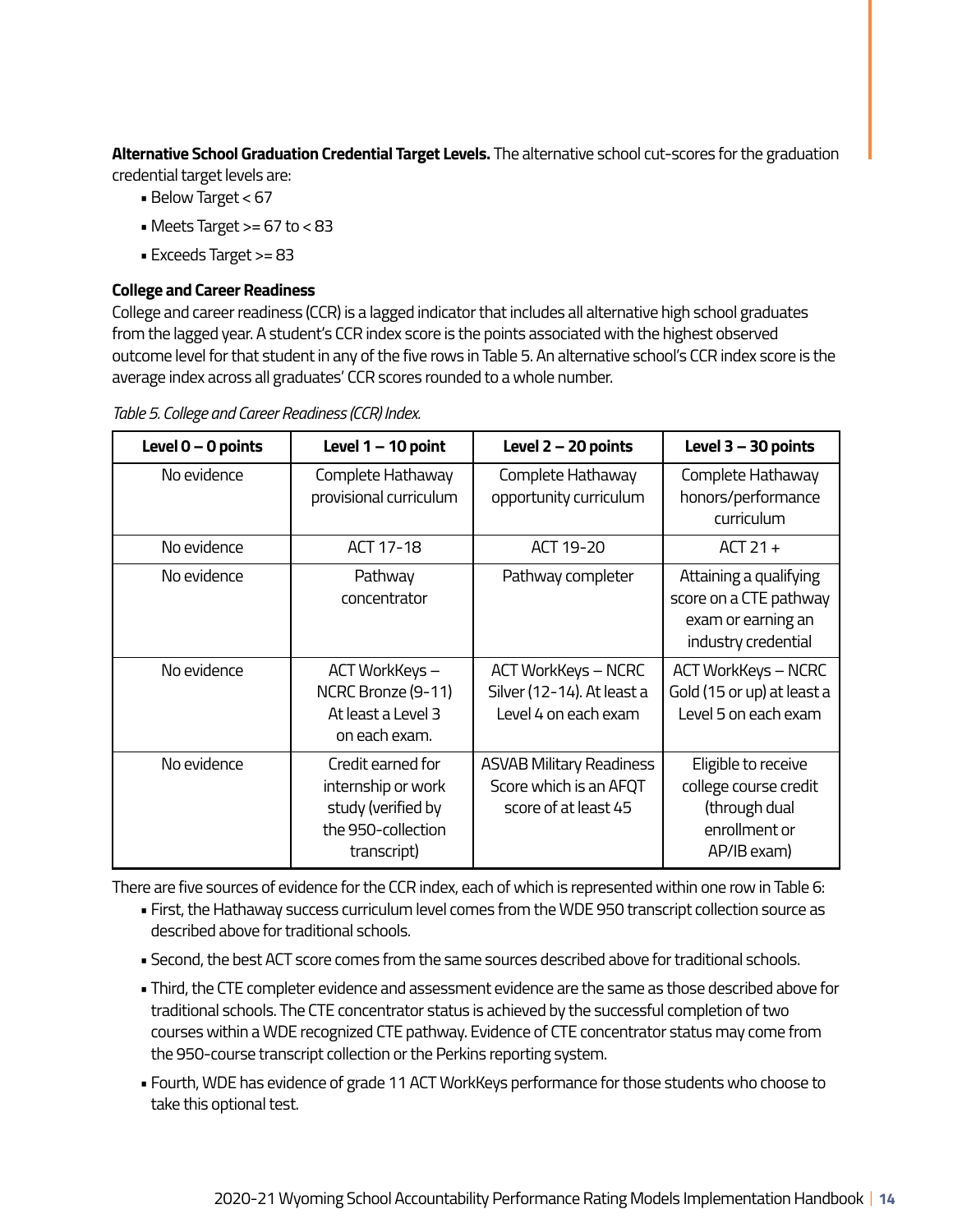**Alternative School Graduation Credential Target Levels.** The alternative school cut-scores for the graduation credential target levels are:

- Below Target < 67
- Meets Target >= 67 to < 83
- Exceeds Target >= 83

#### **College and Career Readiness**

College and career readiness (CCR) is a lagged indicator that includes all alternative high school graduates from the lagged year. A student's CCR index score is the points associated with the highest observed outcome level for that student in any of the five rows in Table 5. An alternative school's CCR index score is the average index across all graduates' CCR scores rounded to a whole number.

*Table 5. College and Career Readiness (CCR) Index.* 

| Level $0 - 0$ points | Level 1 - 10 point                                                                                 | Level 2 - 20 points                                                               | Level 3 - 30 points                                                                           |
|----------------------|----------------------------------------------------------------------------------------------------|-----------------------------------------------------------------------------------|-----------------------------------------------------------------------------------------------|
| No evidence          | Complete Hathaway<br>provisional curriculum                                                        | Complete Hathaway<br>opportunity curriculum                                       | Complete Hathaway<br>honors/performance<br>curriculum                                         |
| No evidence          | ACT 17-18                                                                                          | ACT 19-20                                                                         | $ACT21+$                                                                                      |
| No evidence          | Pathway<br>concentrator                                                                            | Pathway completer                                                                 | Attaining a qualifying<br>score on a CTE pathway<br>exam or earning an<br>industry credential |
| No evidence          | ACT WorkKeys -<br>NCRC Bronze (9-11)<br>At least a Level 3<br>on each exam.                        | <b>ACT WorkKeys - NCRC</b><br>Silver (12-14). At least a<br>Level 4 on each exam  | ACT WorkKeys - NCRC<br>Gold (15 or up) at least a<br>Level 5 on each exam                     |
| No evidence          | Credit earned for<br>internship or work<br>study (verified by<br>the 950-collection<br>transcript) | <b>ASVAB Military Readiness</b><br>Score which is an AFQT<br>score of at least 45 | Eligible to receive<br>college course credit<br>(through dual<br>enrollment or<br>AP/IB exam) |

There are five sources of evidence for the CCR index, each of which is represented within one row in Table 6:

- First, the Hathaway success curriculum level comes from the WDE 950 transcript collection source as described above for traditional schools.
- Second, the best ACT score comes from the same sources described above for traditional schools.
- Third, the CTE completer evidence and assessment evidence are the same as those described above for traditional schools. The CTE concentrator status is achieved by the successful completion of two courses within a WDE recognized CTE pathway. Evidence of CTE concentrator status may come from the 950-course transcript collection or the Perkins reporting system.
- Fourth, WDE has evidence of grade 11 ACT WorkKeys performance for those students who choose to take this optional test.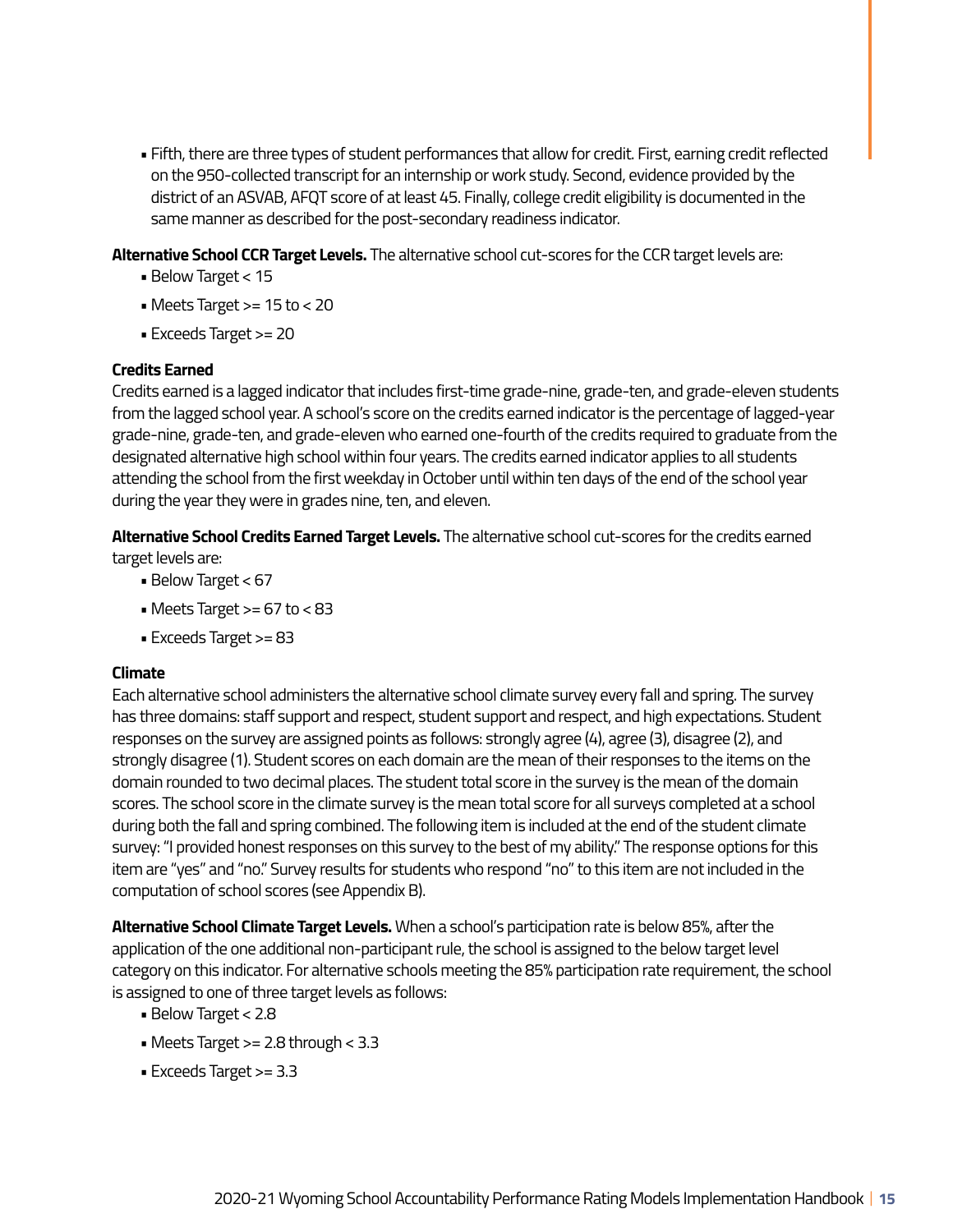• Fifth, there are three types of student performances that allow for credit. First, earning credit reflected on the 950-collected transcript for an internship or work study. Second, evidence provided by the district of an ASVAB, AFQT score of at least 45. Finally, college credit eligibility is documented in the same manner as described for the post-secondary readiness indicator.

#### **Alternative School CCR Target Levels.** The alternative school cut-scores for the CCR target levels are:

- Below Target < 15
- Meets Target >= 15 to < 20
- Exceeds Target >= 20

#### **Credits Earned**

Credits earned is a lagged indicator that includes first-time grade-nine, grade-ten, and grade-eleven students from the lagged school year. A school's score on the credits earned indicator is the percentage of lagged-year grade-nine, grade-ten, and grade-eleven who earned one-fourth of the credits required to graduate from the designated alternative high school within four years. The credits earned indicator applies to all students attending the school from the first weekday in October until within ten days of the end of the school year during the year they were in grades nine, ten, and eleven.

**Alternative School Credits Earned Target Levels.** The alternative school cut-scores for the credits earned target levels are:

- Below Target < 67
- Meets Target  $>= 67$  to  $< 83$
- Exceeds Target >= 83

#### **Climate**

Each alternative school administers the alternative school climate survey every fall and spring. The survey has three domains: staff support and respect, student support and respect, and high expectations. Student responses on the survey are assigned points as follows: strongly agree (4), agree (3), disagree (2), and strongly disagree (1). Student scores on each domain are the mean of their responses to the items on the domain rounded to two decimal places. The student total score in the survey is the mean of the domain scores. The school score in the climate survey is the mean total score for all surveys completed at a school during both the fall and spring combined. The following item is included at the end of the student climate survey: "I provided honest responses on this survey to the best of my ability." The response options for this item are "yes" and "no." Survey results for students who respond "no" to this item are not included in the computation of school scores (see Appendix B).

**Alternative School Climate Target Levels.** When a school's participation rate is below 85%, after the application of the one additional non-participant rule, the school is assigned to the below target level category on this indicator. For alternative schools meeting the 85% participation rate requirement, the school is assigned to one of three target levels as follows:

- Below Target < 2.8
- Meets Target >= 2.8 through < 3.3
- Exceeds Target >= 3.3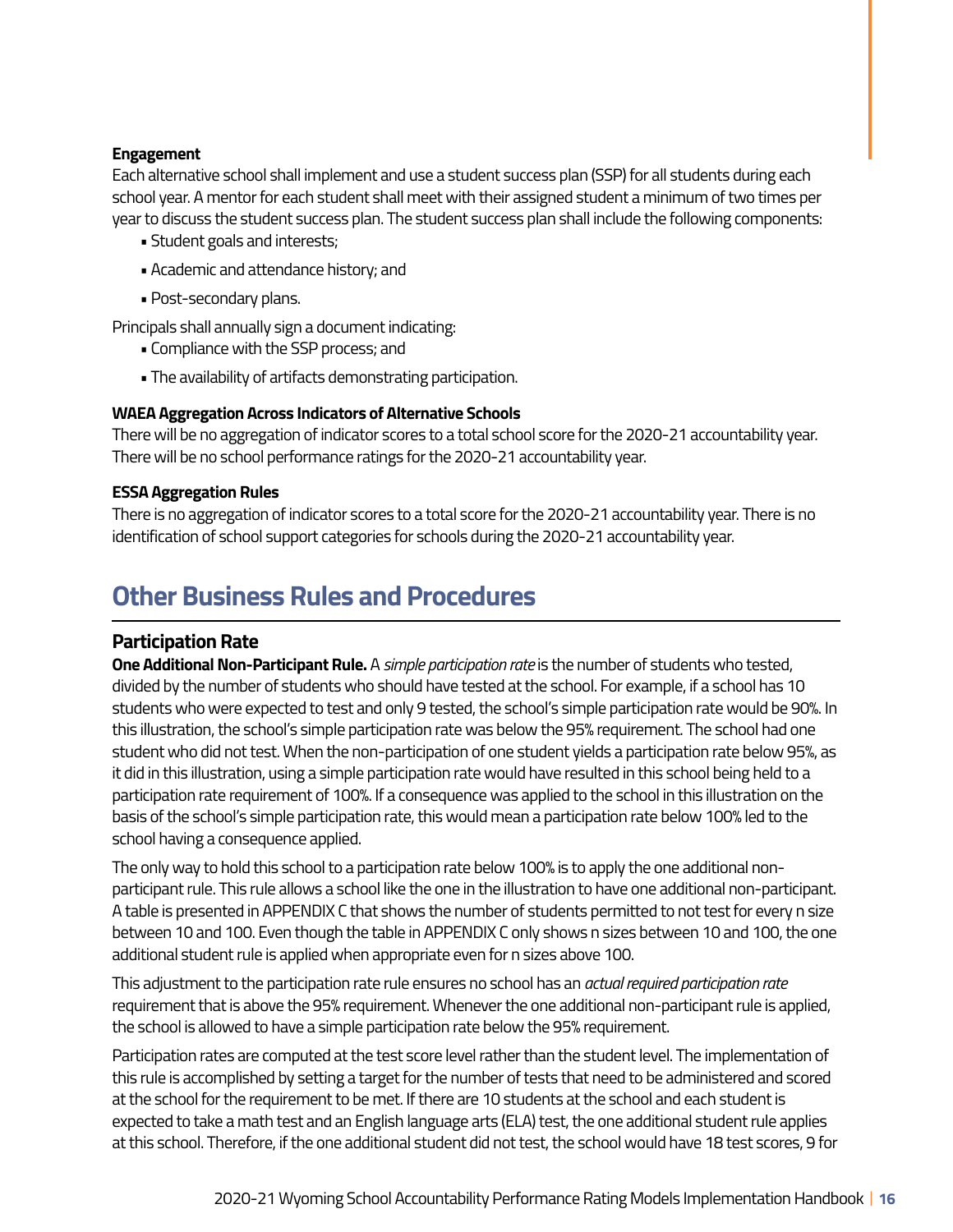### **Engagement**

Each alternative school shall implement and use a student success plan (SSP) for all students during each school year. A mentor for each student shall meet with their assigned student a minimum of two times per year to discuss the student success plan. The student success plan shall include the following components:

- Student goals and interests;
- Academic and attendance history; and
- Post-secondary plans.

Principals shall annually sign a document indicating:

- Compliance with the SSP process; and
- The availability of artifacts demonstrating participation.

#### **WAEA Aggregation Across Indicators of Alternative Schools**

There will be no aggregation of indicator scores to a total school score for the 2020-21 accountability year. There will be no school performance ratings for the 2020-21 accountability year.

#### **ESSA Aggregation Rules**

There is no aggregation of indicator scores to a total score for the 2020-21 accountability year. There is no identification of school support categories for schools during the 2020-21 accountability year.

### **Other Business Rules and Procedures**

### **Participation Rate**

**One Additional Non-Participant Rule.** A *simple participation rate* is the number of students who tested, divided by the number of students who should have tested at the school. For example, if a school has 10 students who were expected to test and only 9 tested, the school's simple participation rate would be 90%. In this illustration, the school's simple participation rate was below the 95% requirement. The school had one student who did not test. When the non-participation of one student yields a participation rate below 95%, as it did in this illustration, using a simple participation rate would have resulted in this school being held to a participation rate requirement of 100%. If a consequence was applied to the school in this illustration on the basis of the school's simple participation rate, this would mean a participation rate below 100% led to the school having a consequence applied.

The only way to hold this school to a participation rate below 100% is to apply the one additional nonparticipant rule. This rule allows a school like the one in the illustration to have one additional non-participant. A table is presented in APPENDIX C that shows the number of students permitted to not test for every n size between 10 and 100. Even though the table in APPENDIX C only shows n sizes between 10 and 100, the one additional student rule is applied when appropriate even for n sizes above 100.

This adjustment to the participation rate rule ensures no school has an *actual required participation rate*  requirement that is above the 95% requirement. Whenever the one additional non-participant rule is applied, the school is allowed to have a simple participation rate below the 95% requirement.

Participation rates are computed at the test score level rather than the student level. The implementation of this rule is accomplished by setting a target for the number of tests that need to be administered and scored at the school for the requirement to be met. If there are 10 students at the school and each student is expected to take a math test and an English language arts (ELA) test, the one additional student rule applies at this school. Therefore, if the one additional student did not test, the school would have 18 test scores, 9 for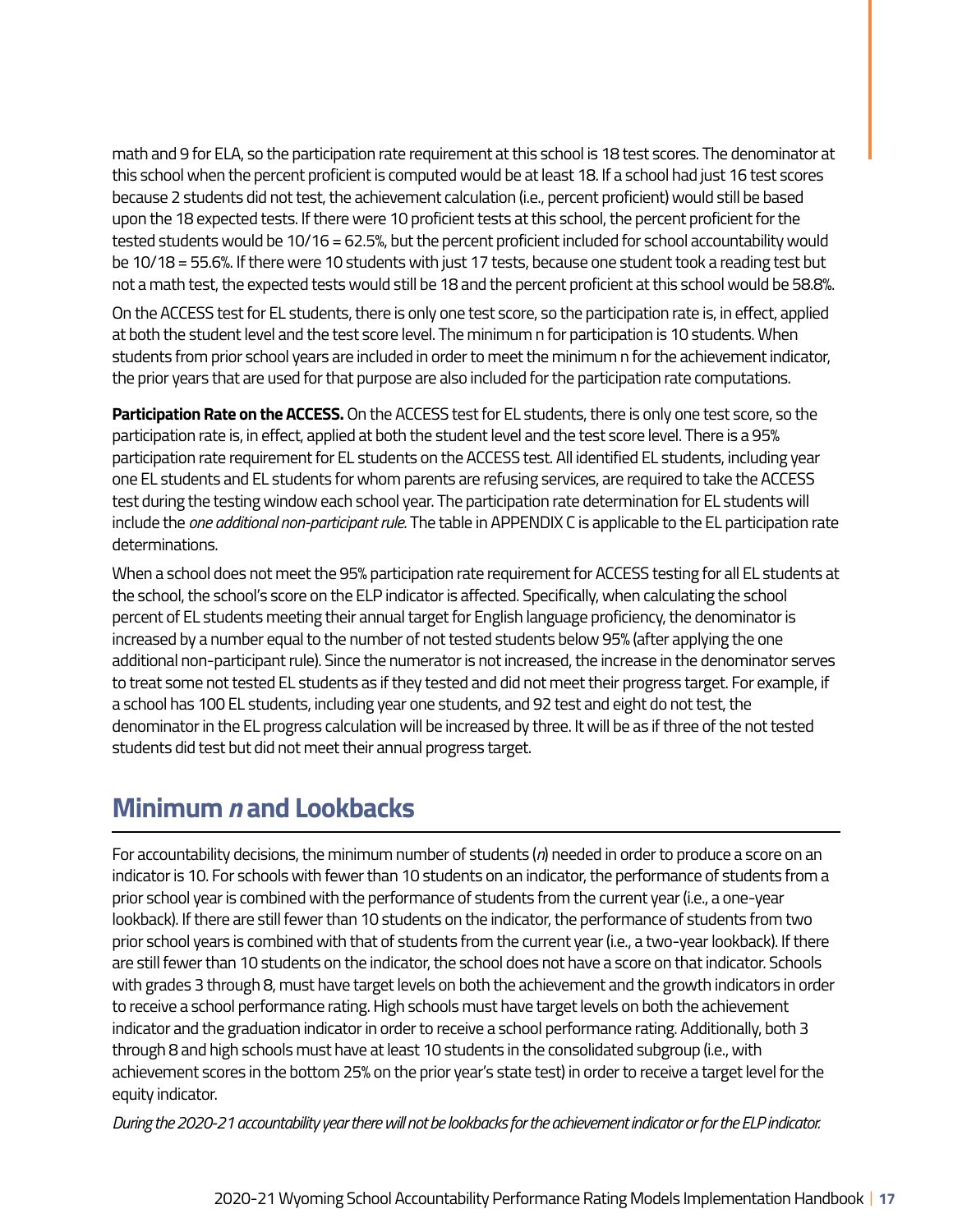math and 9 for ELA, so the participation rate requirement at this school is 18 test scores. The denominator at this school when the percent proficient is computed would be at least 18. If a school had just 16 test scores because 2 students did not test, the achievement calculation (i.e., percent proficient) would still be based upon the 18 expected tests. If there were 10 proficient tests at this school, the percent proficient for the tested students would be 10/16 = 62.5%, but the percent proficient included for school accountability would be 10/18 = 55.6%. If there were 10 students with just 17 tests, because one student took a reading test but not a math test, the expected tests would still be 18 and the percent proficient at this school would be 58.8%.

On the ACCESS test for EL students, there is only one test score, so the participation rate is, in effect, applied at both the student level and the test score level. The minimum n for participation is 10 students. When students from prior school years are included in order to meet the minimum n for the achievement indicator, the prior years that are used for that purpose are also included for the participation rate computations.

**Participation Rate on the ACCESS.** On the ACCESS test for EL students, there is only one test score, so the participation rate is, in effect, applied at both the student level and the test score level. There is a 95% participation rate requirement for EL students on the ACCESS test. All identified EL students, including year one EL students and EL students for whom parents are refusing services, are required to take the ACCESS test during the testing window each school year. The participation rate determination for EL students will include the *one additional non-participant rule*. The table in APPENDIX C is applicable to the EL participation rate determinations.

When a school does not meet the 95% participation rate requirement for ACCESS testing for all EL students at the school, the school's score on the ELP indicator is affected. Specifically, when calculating the school percent of EL students meeting their annual target for English language proficiency, the denominator is increased by a number equal to the number of not tested students below 95% (after applying the one additional non-participant rule). Since the numerator is not increased, the increase in the denominator serves to treat some not tested EL students as if they tested and did not meet their progress target. For example, if a school has 100 EL students, including year one students, and 92 test and eight do not test, the denominator in the EL progress calculation will be increased by three. It will be as if three of the not tested students did test but did not meet their annual progress target.

## **Minimum** *n* **and Lookbacks**

For accountability decisions, the minimum number of students (*n*) needed in order to produce a score on an indicator is 10. For schools with fewer than 10 students on an indicator, the performance of students from a prior school year is combined with the performance of students from the current year (i.e., a one-year lookback). If there are still fewer than 10 students on the indicator, the performance of students from two prior school years is combined with that of students from the current year (i.e., a two-year lookback). If there are still fewer than 10 students on the indicator, the school does not have a score on that indicator. Schools with grades 3 through 8, must have target levels on both the achievement and the growth indicators in order to receive a school performance rating. High schools must have target levels on both the achievement indicator and the graduation indicator in order to receive a school performance rating. Additionally, both 3 through 8 and high schools must have at least 10 students in the consolidated subgroup (i.e., with achievement scores in the bottom 25% on the prior year's state test) in order to receive a target level for the equity indicator.

*During the 2020-21 accountability year there will not be lookbacks for the achievement indicator or for the ELP indicator.*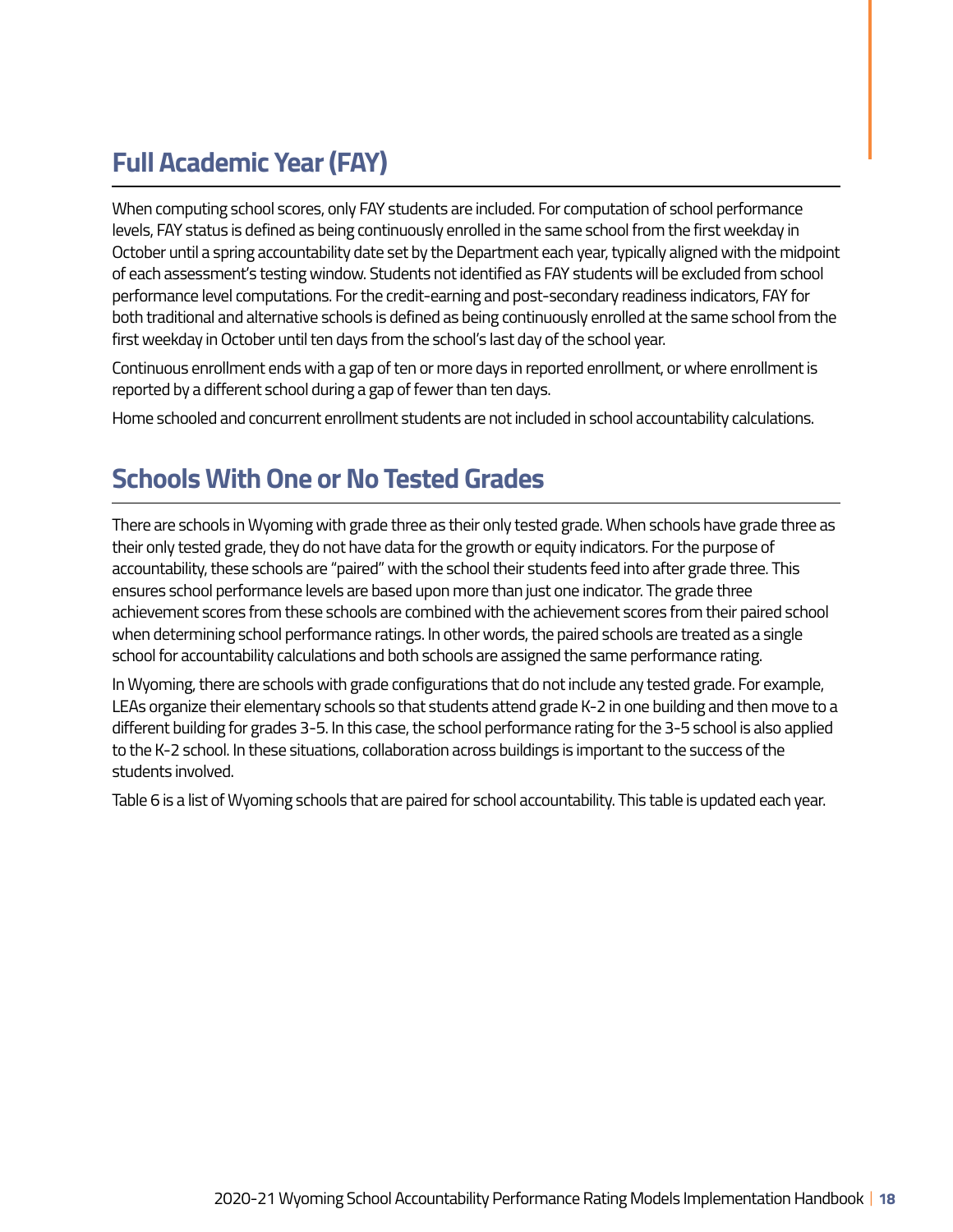# **Full Academic Year (FAY)**

When computing school scores, only FAY students are included. For computation of school performance levels, FAY status is defined as being continuously enrolled in the same school from the first weekday in October until a spring accountability date set by the Department each year, typically aligned with the midpoint of each assessment's testing window. Students not identified as FAY students will be excluded from school performance level computations. For the credit-earning and post-secondary readiness indicators, FAY for both traditional and alternative schools is defined as being continuously enrolled at the same school from the first weekday in October until ten days from the school's last day of the school year.

Continuous enrollment ends with a gap of ten or more days in reported enrollment, or where enrollment is reported by a different school during a gap of fewer than ten days.

Home schooled and concurrent enrollment students are not included in school accountability calculations.

# **Schools With One or No Tested Grades**

There are schools in Wyoming with grade three as their only tested grade. When schools have grade three as their only tested grade, they do not have data for the growth or equity indicators. For the purpose of accountability, these schools are "paired" with the school their students feed into after grade three. This ensures school performance levels are based upon more than just one indicator. The grade three achievement scores from these schools are combined with the achievement scores from their paired school when determining school performance ratings. In other words, the paired schools are treated as a single school for accountability calculations and both schools are assigned the same performance rating.

In Wyoming, there are schools with grade configurations that do not include any tested grade. For example, LEAs organize their elementary schools so that students attend grade K-2 in one building and then move to a different building for grades 3-5. In this case, the school performance rating for the 3-5 school is also applied to the K-2 school. In these situations, collaboration across buildings is important to the success of the students involved.

Table 6 is a list of Wyoming schools that are paired for school accountability. This table is updated each year.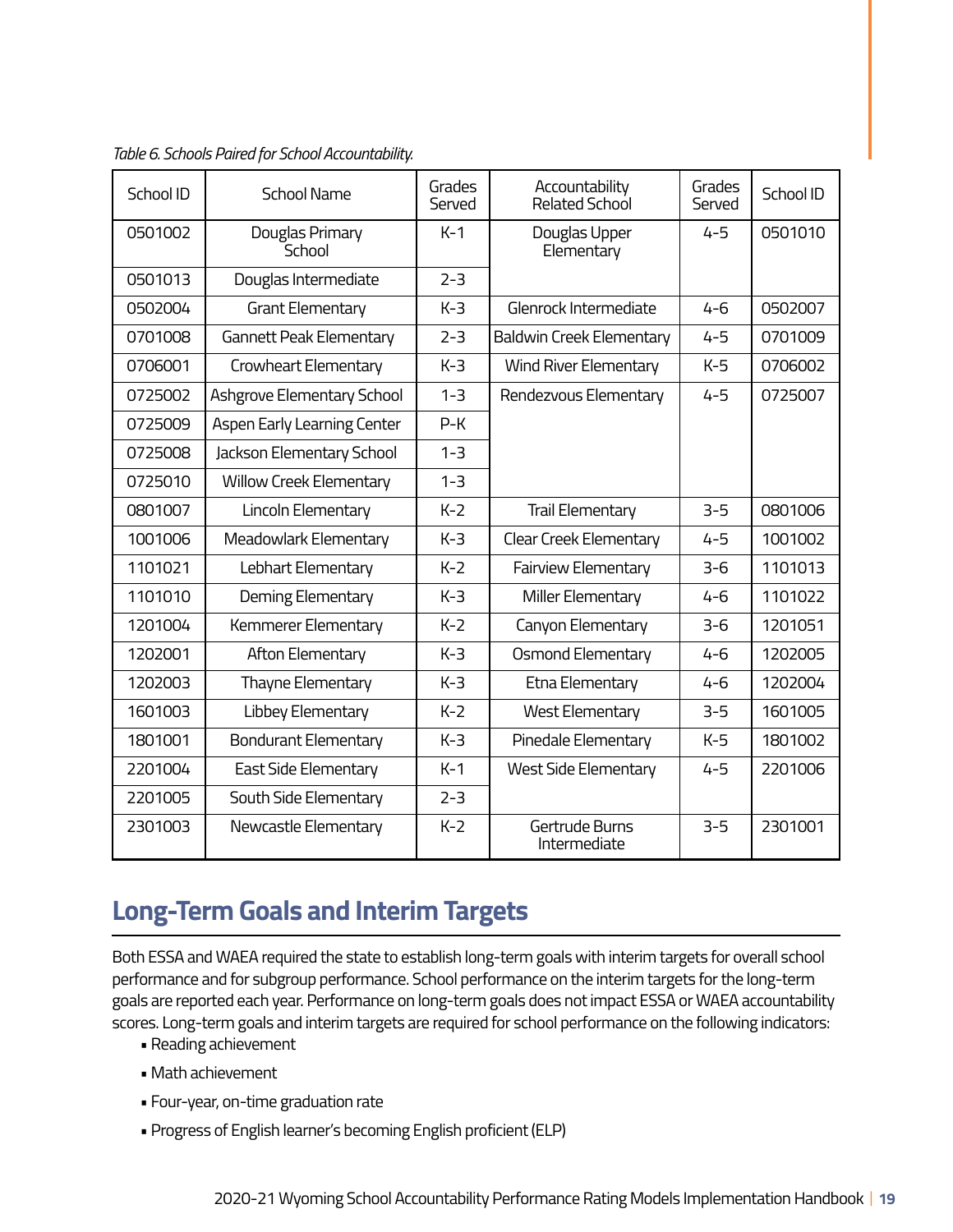| School ID | <b>School Name</b>             | Grades<br>Served | Accountability<br>Related School | Grades<br>Served | School ID |
|-----------|--------------------------------|------------------|----------------------------------|------------------|-----------|
| 0501002   | Douglas Primary<br>School      | $K-1$            | Douglas Upper<br>Elementary      | $4 - 5$          | 0501010   |
| 0501013   | Douglas Intermediate           | $2 - 3$          |                                  |                  |           |
| 0502004   | Grant Elementary               | $K-3$            | Glenrock Intermediate            | $4 - 6$          | 0502007   |
| 0701008   | <b>Gannett Peak Elementary</b> | $2 - 3$          | Baldwin Creek Elementary         | $4 - 5$          | 0701009   |
| 0706001   | Crowheart Elementary           | $K-3$            | <b>Wind River Elementary</b>     | $K-5$            | 0706002   |
| 0725002   | Ashgrove Elementary School     | $1 - 3$          | Rendezvous Elementary            | $4 - 5$          | 0725007   |
| 0725009   | Aspen Early Learning Center    | $P-K$            |                                  |                  |           |
| 0725008   | Jackson Elementary School      | $1 - 3$          |                                  |                  |           |
| 0725010   | <b>Willow Creek Elementary</b> | $1 - 3$          |                                  |                  |           |
| 0801007   | Lincoln Elementary             | $K-2$            | <b>Trail Elementary</b>          | $3 - 5$          | 0801006   |
| 1001006   | Meadowlark Elementary          | $K-3$            | Clear Creek Elementary           | $4 - 5$          | 1001002   |
| 1101021   | Lebhart Elementary             | $K-2$            | <b>Fairview Elementary</b>       | $3 - 6$          | 1101013   |
| 1101010   | Deming Elementary              | $K-3$            | Miller Elementary                | $4 - 6$          | 1101022   |
| 1201004   | Kemmerer Elementary            | $K-2$            | Canyon Elementary                | $3 - 6$          | 1201051   |
| 1202001   | Afton Elementary               | $K-3$            | <b>Osmond Elementary</b>         | $4 - 6$          | 1202005   |
| 1202003   | Thayne Elementary              | $K-3$            | Etna Elementary                  | $4 - 6$          | 1202004   |
| 1601003   | Libbey Elementary              | $K-2$            | <b>West Elementary</b>           | $3-5$            | 1601005   |
| 1801001   | <b>Bondurant Elementary</b>    | $K-3$            | Pinedale Elementary              | $K-5$            | 1801002   |
| 2201004   | East Side Elementary           | $K-1$            | West Side Elementary             | $4 - 5$          | 2201006   |
| 2201005   | South Side Elementary          | $2 - 3$          |                                  |                  |           |
| 2301003   | Newcastle Elementary           | $K-2$            | Gertrude Burns<br>Intermediate   | $3 - 5$          | 2301001   |

*Table 6. Schools Paired for School Accountability.* 

### **Long-Term Goals and Interim Targets**

Both ESSA and WAEA required the state to establish long-term goals with interim targets for overall school performance and for subgroup performance. School performance on the interim targets for the long-term goals are reported each year. Performance on long-term goals does not impact ESSA or WAEA accountability scores. Long-term goals and interim targets are required for school performance on the following indicators:

- Reading achievement
- Math achievement
- Four-year, on-time graduation rate
- Progress of English learner's becoming English proficient (ELP)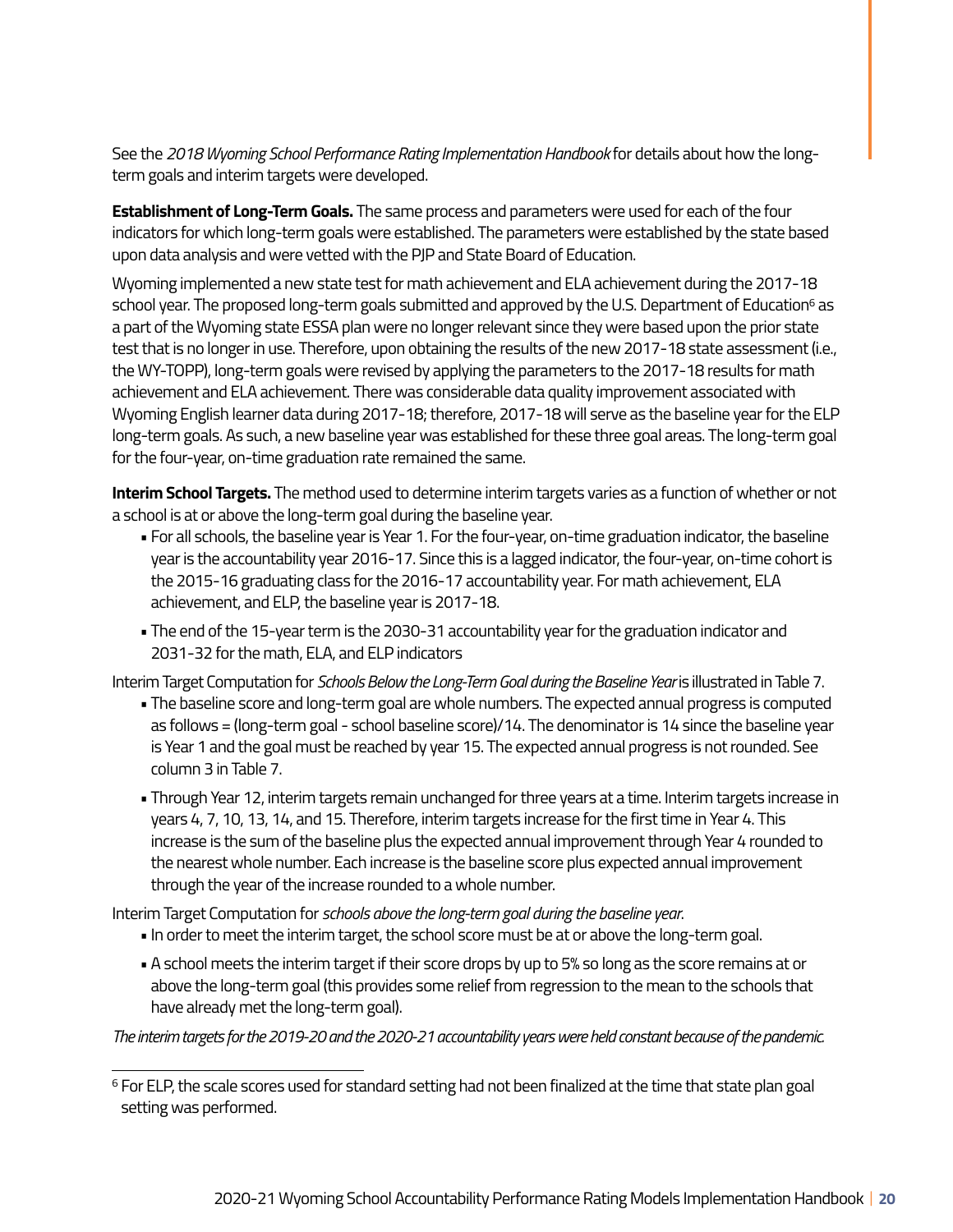See the *2018 Wyoming School Performance Rating Implementation Handbook* for details about how the longterm goals and interim targets were developed.

**Establishment of Long-Term Goals.** The same process and parameters were used for each of the four indicators for which long-term goals were established. The parameters were established by the state based upon data analysis and were vetted with the PJP and State Board of Education.

Wyoming implemented a new state test for math achievement and ELA achievement during the 2017-18 school year. The proposed long-term goals submitted and approved by the U.S. Department of Education<sup>6</sup> as a part of the Wyoming state ESSA plan were no longer relevant since they were based upon the prior state test that is no longer in use. Therefore, upon obtaining the results of the new 2017-18 state assessment (i.e., the WY-TOPP), long-term goals were revised by applying the parameters to the 2017-18 results for math achievement and ELA achievement. There was considerable data quality improvement associated with Wyoming English learner data during 2017-18; therefore, 2017-18 will serve as the baseline year for the ELP long-term goals. As such, a new baseline year was established for these three goal areas. The long-term goal for the four-year, on-time graduation rate remained the same.

**Interim School Targets.** The method used to determine interim targets varies as a function of whether or not a school is at or above the long-term goal during the baseline year.

- For all schools, the baseline year is Year 1. For the four-year, on-time graduation indicator, the baseline year is the accountability year 2016-17. Since this is a lagged indicator, the four-year, on-time cohort is the 2015-16 graduating class for the 2016-17 accountability year. For math achievement, ELA achievement, and ELP, the baseline year is 2017-18.
- The end of the 15-year term is the 2030-31 accountability year for the graduation indicator and 2031-32 for the math, ELA, and ELP indicators

Interim Target Computation for *Schools Below the Long-Term Goal during the Baseline Year* is illustrated in Table 7.

- The baseline score and long-term goal are whole numbers. The expected annual progress is computed as follows = (long-term goal - school baseline score)/14. The denominator is 14 since the baseline year is Year 1 and the goal must be reached by year 15. The expected annual progress is not rounded. See column 3 in Table 7.
- Through Year 12, interim targets remain unchanged for three years at a time. Interim targets increase in years 4, 7, 10, 13, 14, and 15. Therefore, interim targets increase for the first time in Year 4. This increase is the sum of the baseline plus the expected annual improvement through Year 4 rounded to the nearest whole number. Each increase is the baseline score plus expected annual improvement through the year of the increase rounded to a whole number.

Interim Target Computation for *schools above the long-term goal during the baseline year*.

- In order to meet the interim target, the school score must be at or above the long-term goal.
- A school meets the interim target if their score drops by up to 5% so long as the score remains at or above the long-term goal (this provides some relief from regression to the mean to the schools that have already met the long-term goal).

*The interim targets for the 2019-20 and the 2020-21 accountability years were held constant because of the pandemic.* 

<sup>&</sup>lt;sup>6</sup> For ELP, the scale scores used for standard setting had not been finalized at the time that state plan goal setting was performed.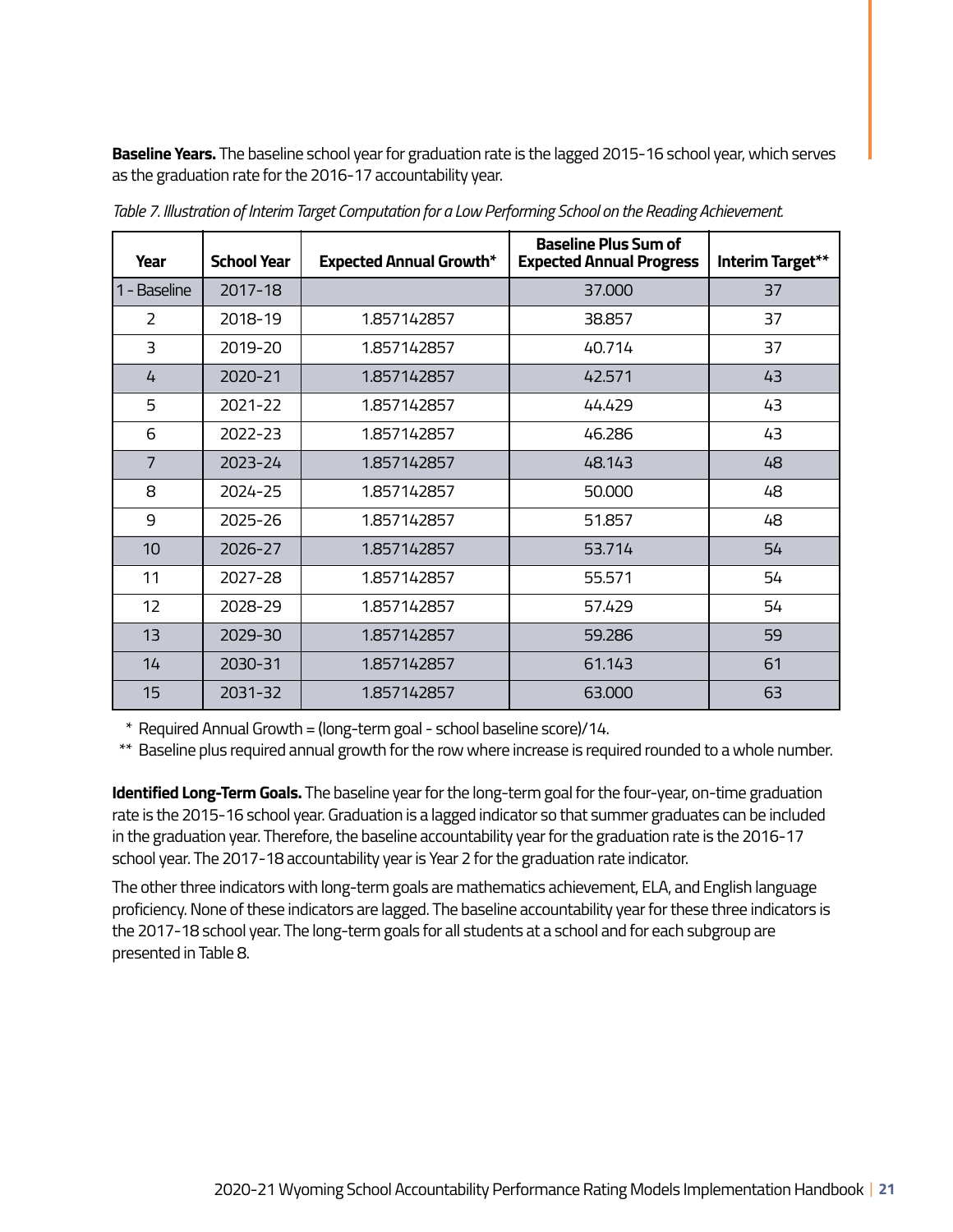**Baseline Years.** The baseline school year for graduation rate is the lagged 2015-16 school year, which serves as the graduation rate for the 2016-17 accountability year.

| Year           | <b>School Year</b> | <b>Expected Annual Growth*</b> | <b>Baseline Plus Sum of</b><br><b>Expected Annual Progress</b> | Interim Target** |
|----------------|--------------------|--------------------------------|----------------------------------------------------------------|------------------|
| 1 - Baseline   | 2017-18            |                                | 37.000                                                         | 37               |
| $\mathcal{P}$  | 2018-19            | 1.857142857                    | 38.857                                                         | 37               |
| 3              | 2019-20            | 1.857142857                    | 40.714                                                         | 37               |
| 4              | 2020-21            | 1.857142857                    | 42.571                                                         | 43               |
| 5              | 2021-22            | 1.857142857                    | 44.429                                                         | 43               |
| 6              | 2022-23            | 1.857142857                    | 46.286                                                         | 43               |
| $\overline{7}$ | 2023-24            | 1.857142857                    | 48.143                                                         | 48               |
| 8              | 2024-25            | 1.857142857                    | 50,000                                                         | 48               |
| 9              | 2025-26            | 1.857142857                    | 51.857                                                         | 48               |
| 10             | 2026-27            | 1.857142857                    | 53.714                                                         | 54               |
| 11             | 2027-28            | 1.857142857                    | 55.571                                                         | 54               |
| 12             | 2028-29            | 1.857142857                    | 57.429                                                         | 54               |
| 13             | 2029-30            | 1.857142857                    | 59.286                                                         | 59               |
| 14             | 2030-31            | 1.857142857                    | 61.143                                                         | 61               |
| 15             | 2031-32            | 1.857142857                    | 63.000                                                         | 63               |

*Table 7. Illustration of Interim Target Computation for a Low Performing School on the Reading Achievement.* 

\* Required Annual Growth = (long-term goal - school baseline score)/14.

\*\* Baseline plus required annual growth for the row where increase is required rounded to a whole number.

**Identified Long-Term Goals.** The baseline year for the long-term goal for the four-year, on-time graduation rate is the 2015-16 school year. Graduation is a lagged indicator so that summer graduates can be included in the graduation year. Therefore, the baseline accountability year for the graduation rate is the 2016-17 school year. The 2017-18 accountability year is Year 2 for the graduation rate indicator.

The other three indicators with long-term goals are mathematics achievement, ELA, and English language proficiency. None of these indicators are lagged. The baseline accountability year for these three indicators is the 2017-18 school year. The long-term goals for all students at a school and for each subgroup are presented in Table 8.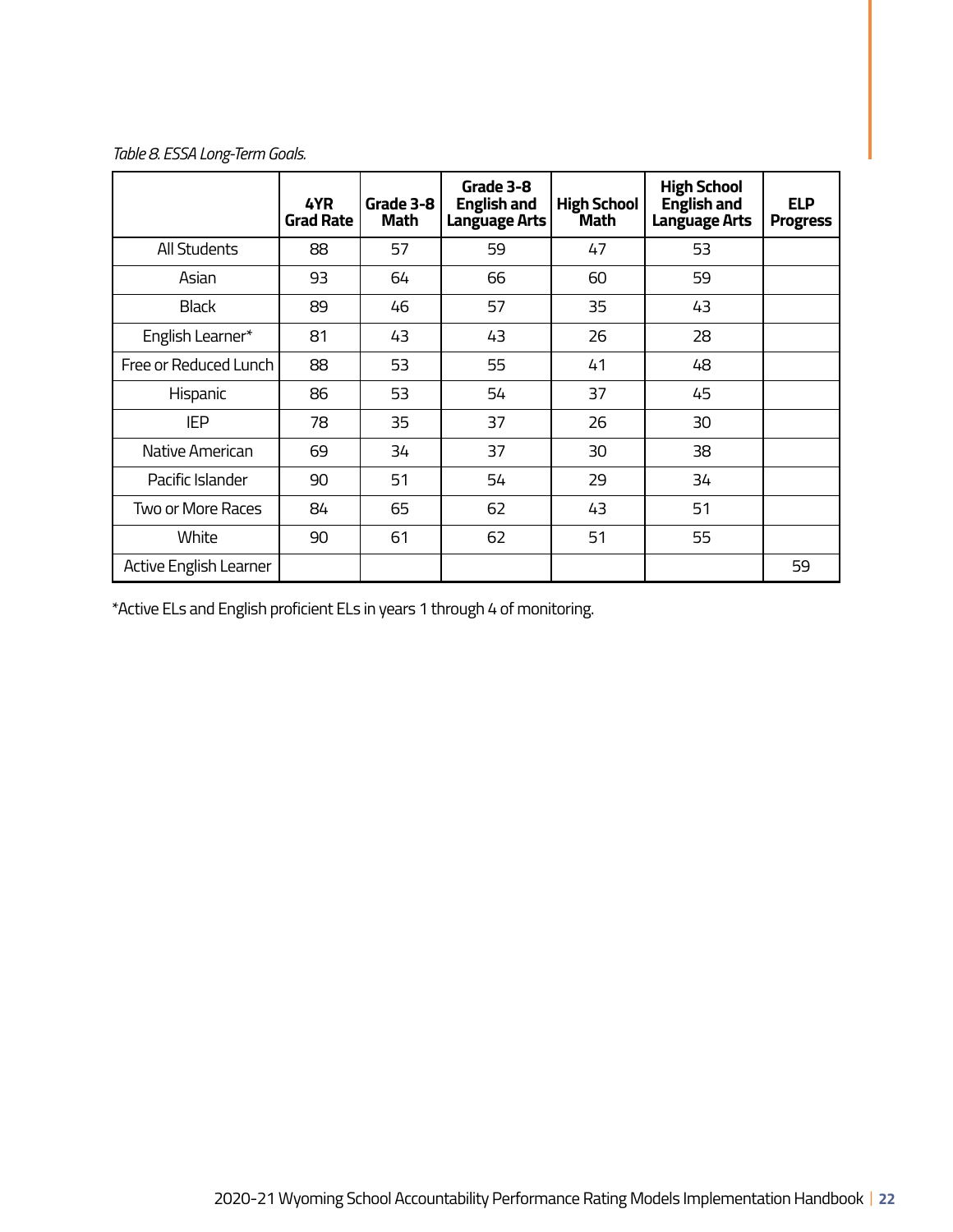*Table 8. ESSA Long-Term Goals.* 

|                        | 4YR<br><b>Grad Rate</b> | Grade 3-8<br>Math | Grade 3-8<br><b>English and</b><br><b>Language Arts</b> | <b>High School</b><br>Math | <b>High School</b><br><b>English and</b><br><b>Language Arts</b> | <b>ELP</b><br><b>Progress</b> |
|------------------------|-------------------------|-------------------|---------------------------------------------------------|----------------------------|------------------------------------------------------------------|-------------------------------|
| <b>All Students</b>    | 88                      | 57                | 59                                                      | 47                         | 53                                                               |                               |
| Asian                  | 93                      | 64                | 66                                                      | 60                         | 59                                                               |                               |
| <b>Black</b>           | 89                      | 46                | 57                                                      | 35                         | 43                                                               |                               |
| English Learner*       | 81                      | 43                | 43                                                      | 26                         | 28                                                               |                               |
| Free or Reduced Lunch  | 88                      | 53                | 55                                                      | 41                         | 48                                                               |                               |
| Hispanic               | 86                      | 53                | 54                                                      | 37                         | 45                                                               |                               |
| <b>IEP</b>             | 78                      | 35                | 37                                                      | 26                         | 30                                                               |                               |
| Native American        | 69                      | 34                | 37                                                      | 30                         | 38                                                               |                               |
| Pacific Islander       | 90                      | 51                | 54                                                      | 29                         | 34                                                               |                               |
| Two or More Races      | 84                      | 65                | 62                                                      | 43                         | 51                                                               |                               |
| White                  | 90                      | 61                | 62                                                      | 51                         | 55                                                               |                               |
| Active English Learner |                         |                   |                                                         |                            |                                                                  | 59                            |

\*Active ELs and English proficient ELs in years 1 through 4 of monitoring.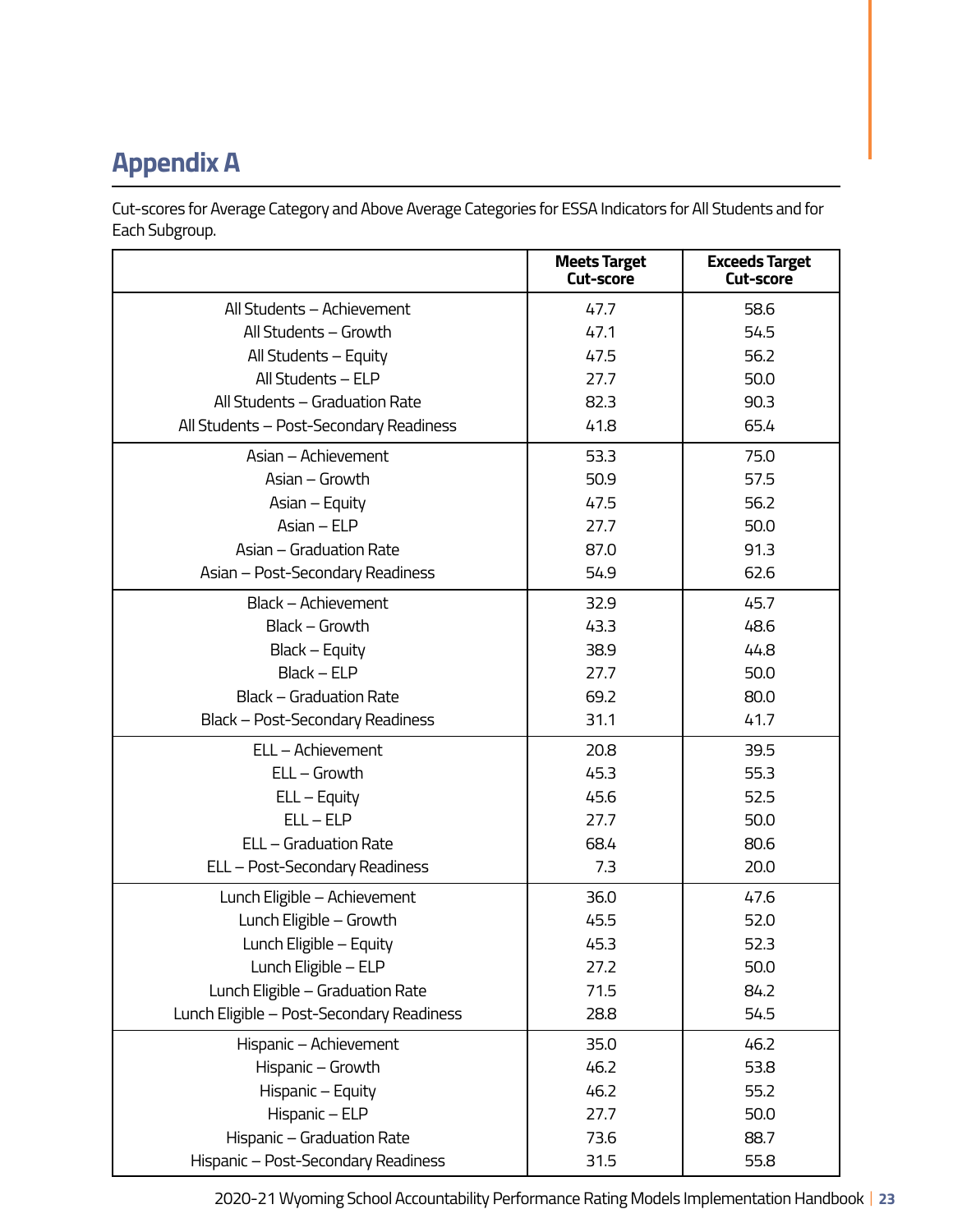# **Appendix A**

Cut-scores for Average Category and Above Average Categories for ESSA Indicators for All Students and for Each Subgroup.

|                                           | <b>Meets Target</b><br>Cut-score | <b>Exceeds Target</b><br><b>Cut-score</b> |
|-------------------------------------------|----------------------------------|-------------------------------------------|
| All Students - Achievement                | 47.7                             | 58.6                                      |
| All Students - Growth                     | 47.1                             | 54.5                                      |
| All Students - Equity                     | 47.5                             | 56.2                                      |
| All Students - ELP                        | 27.7                             | 50.0                                      |
| All Students - Graduation Rate            | 82.3                             | 90.3                                      |
| All Students - Post-Secondary Readiness   | 41.8                             | 65.4                                      |
| Asian - Achievement                       | 53.3                             | 75.0                                      |
| Asian - Growth                            | 50.9                             | 57.5                                      |
| Asian – Equity                            | 47.5                             | 56.2                                      |
| Asian - ELP                               | 27.7                             | 50.0                                      |
| Asian - Graduation Rate                   | 87.0                             | 91.3                                      |
| Asian - Post-Secondary Readiness          | 54.9                             | 62.6                                      |
| Black - Achievement                       | 32.9                             | 45.7                                      |
| Black - Growth                            | 43.3                             | 48.6                                      |
| Black – Equity                            | 38.9                             | 44.8                                      |
| Black - ELP                               | 27.7                             | 50.0                                      |
| <b>Black - Graduation Rate</b>            | 69.2                             | 80.0                                      |
| Black - Post-Secondary Readiness          | 31.1                             | 41.7                                      |
| ELL - Achievement                         | 20.8                             | 39.5                                      |
| $ELL - Growth$                            | 45.3                             | 55.3                                      |
| $ELL - Equity$                            | 45.6                             | 52.5                                      |
| $ELL - ELP$                               | 27.7                             | 50.0                                      |
| ELL - Graduation Rate                     | 68.4                             | 80.6                                      |
| ELL - Post-Secondary Readiness            | 7.3                              | 20.0                                      |
| Lunch Eligible - Achievement              | 36.0                             | 47.6                                      |
| Lunch Eligible - Growth                   | 45.5                             | 52.0                                      |
| Lunch Eligible - Equity                   | 45.3                             | 52.3                                      |
| Lunch Eligible - ELP                      | 27.2                             | 50.0                                      |
| Lunch Eligible - Graduation Rate          | 71.5                             | 84.2                                      |
| Lunch Eligible - Post-Secondary Readiness | 28.8                             | 54.5                                      |
| Hispanic - Achievement                    | 35.0                             | 46.2                                      |
| Hispanic - Growth                         | 46.2                             | 53.8                                      |
| Hispanic - Equity                         | 46.2                             | 55.2                                      |
| Hispanic - ELP                            | 27.7                             | 50.0                                      |
| Hispanic - Graduation Rate                | 73.6                             | 88.7                                      |
| Hispanic - Post-Secondary Readiness       | 31.5                             | 55.8                                      |

2020-21 Wyoming School Accountability Performance Rating Models Implementation Handbook | **23**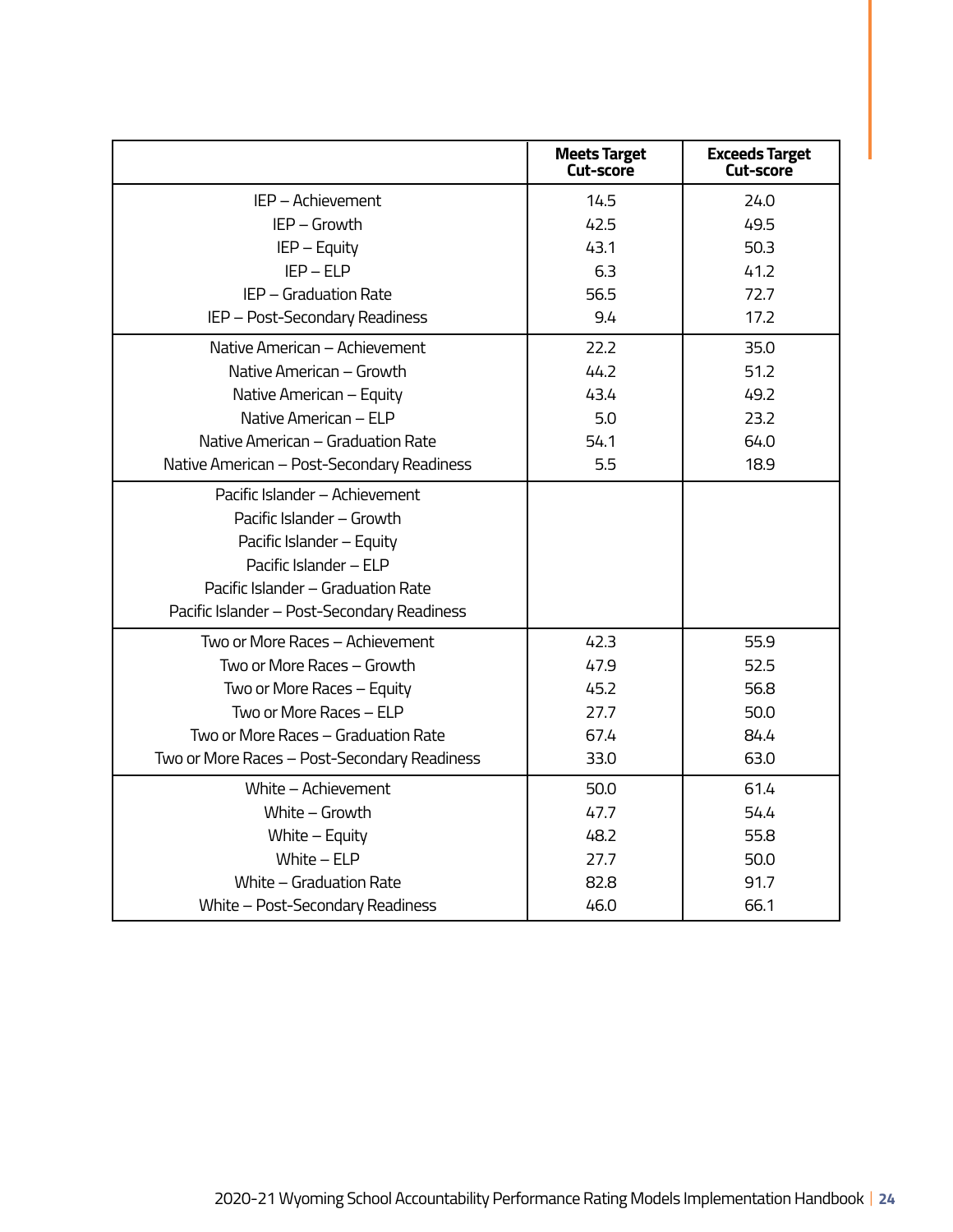|                                                                                                                                                                                                         | <b>Meets Target</b><br>Cut-score | <b>Exceeds Target</b><br><b>Cut-score</b> |
|---------------------------------------------------------------------------------------------------------------------------------------------------------------------------------------------------------|----------------------------------|-------------------------------------------|
| IEP - Achievement                                                                                                                                                                                       | 14.5                             | 24.0                                      |
| IEP - Growth                                                                                                                                                                                            | 42.5                             | 49.5                                      |
| IEP - Equity                                                                                                                                                                                            | 43.1                             | 50.3                                      |
| $IEP - ELP$                                                                                                                                                                                             | 6.3                              | 41.2                                      |
| IEP - Graduation Rate                                                                                                                                                                                   | 56.5                             | 72.7                                      |
| IEP - Post-Secondary Readiness                                                                                                                                                                          | 9.4                              | 17.2                                      |
| Native American - Achievement                                                                                                                                                                           | 22.2                             | 35.0                                      |
| Native American - Growth                                                                                                                                                                                | 44.2                             | 51.2                                      |
| Native American - Equity                                                                                                                                                                                | 43.4                             | 49.2                                      |
| Native American - ELP                                                                                                                                                                                   | 5.0                              | 23.2                                      |
| Native American - Graduation Rate                                                                                                                                                                       | 54.1                             | 64.0                                      |
| Native American - Post-Secondary Readiness                                                                                                                                                              | 5.5                              | 18.9                                      |
| Pacific Islander - Achievement<br>Pacific Islander - Growth<br>Pacific Islander - Equity<br>Pacific Islander - ELP<br>Pacific Islander - Graduation Rate<br>Pacific Islander - Post-Secondary Readiness |                                  |                                           |
| Two or More Races – Achievement                                                                                                                                                                         | 42.3                             | 55.9                                      |
| Two or More Races - Growth                                                                                                                                                                              | 47.9                             | 52.5                                      |
| Two or More Races – Equity                                                                                                                                                                              | 45.2                             | 56.8                                      |
| Two or More Races - ELP                                                                                                                                                                                 | 27.7                             | 50.0                                      |
| Two or More Races - Graduation Rate                                                                                                                                                                     | 67.4                             | 84.4                                      |
| Two or More Races - Post-Secondary Readiness                                                                                                                                                            | 33.0                             | 63.0                                      |
| White - Achievement                                                                                                                                                                                     | 50.0                             | 61.4                                      |
| White - Growth                                                                                                                                                                                          | 47.7                             | 54.4                                      |
| White - Equity                                                                                                                                                                                          | 48.2                             | 55.8                                      |
| White $-$ ELP                                                                                                                                                                                           | 27.7                             | 50.0                                      |
| White - Graduation Rate                                                                                                                                                                                 | 82.8                             | 91.7                                      |
| White - Post-Secondary Readiness                                                                                                                                                                        | 46.0                             | 66.1                                      |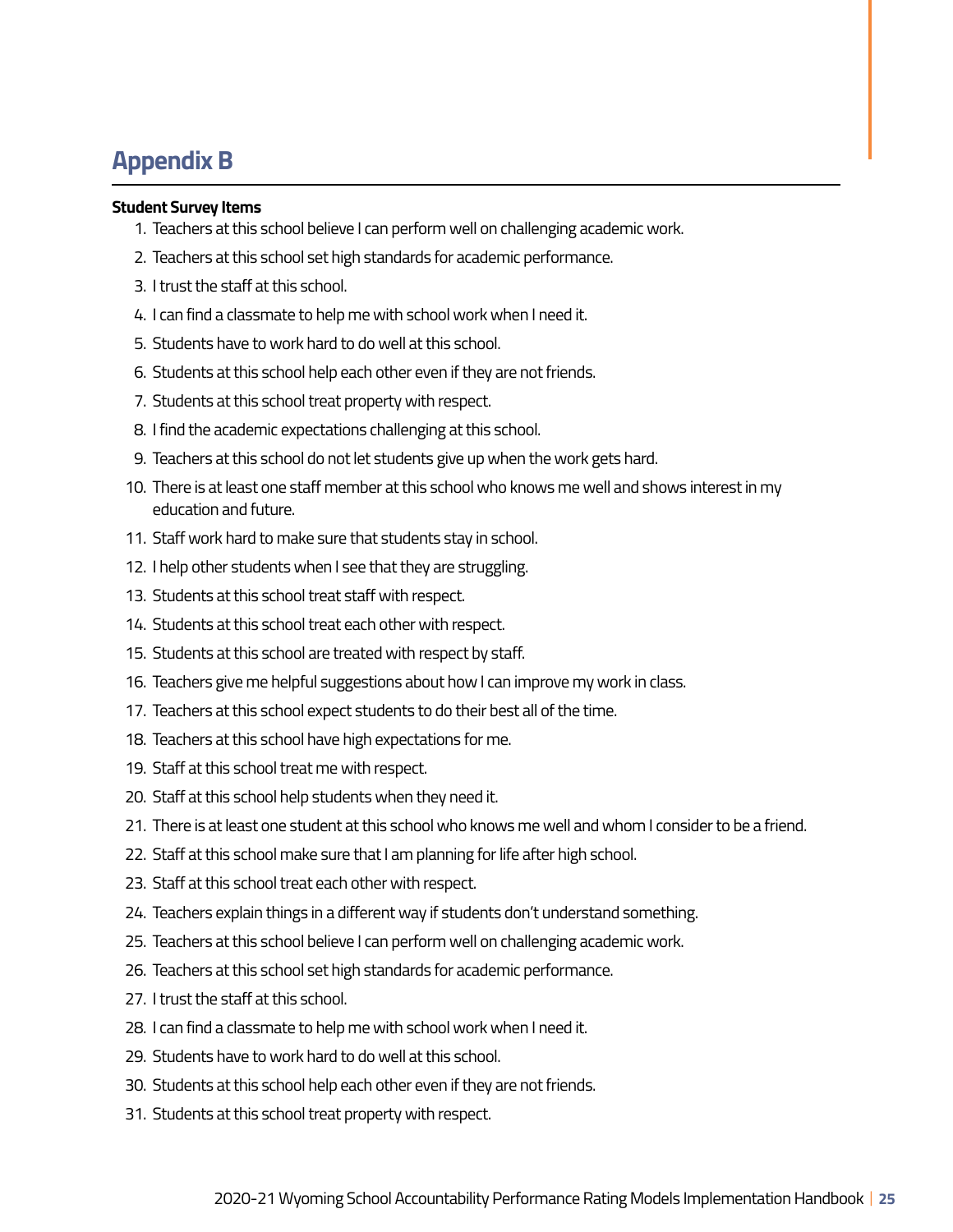## **Appendix B**

#### **Student Survey Items**

- 1. Teachers at this school believe I can perform well on challenging academic work.
- 2. Teachers at this school set high standards for academic performance.
- 3. I trust the staff at this school.
- 4. I can find a classmate to help me with school work when I need it.
- 5. Students have to work hard to do well at this school.
- 6. Students at this school help each other even if they are not friends.
- 7. Students at this school treat property with respect.
- 8. I find the academic expectations challenging at this school.
- 9. Teachers at this school do not let students give up when the work gets hard.
- 10. There is at least one staff member at this school who knows me well and shows interest in my education and future.
- 11. Staff work hard to make sure that students stay in school.
- 12. I help other students when I see that they are struggling.
- 13. Students at this school treat staff with respect.
- 14. Students at this school treat each other with respect.
- 15. Students at this school are treated with respect by staff.
- 16. Teachers give me helpful suggestions about how I can improve my work in class.
- 17. Teachers at this school expect students to do their best all of the time.
- 18. Teachers at this school have high expectations for me.
- 19. Staff at this school treat me with respect.
- 20. Staff at this school help students when they need it.
- 21. There is at least one student at this school who knows me well and whom I consider to be a friend.
- 22. Staff at this school make sure that I am planning for life after high school.
- 23. Staff at this school treat each other with respect.
- 24. Teachers explain things in a different way if students don't understand something.
- 25. Teachers at this school believe I can perform well on challenging academic work.
- 26. Teachers at this school set high standards for academic performance.
- 27. I trust the staff at this school.
- 28. I can find a classmate to help me with school work when I need it.
- 29. Students have to work hard to do well at this school.
- 30. Students at this school help each other even if they are not friends.
- 31. Students at this school treat property with respect.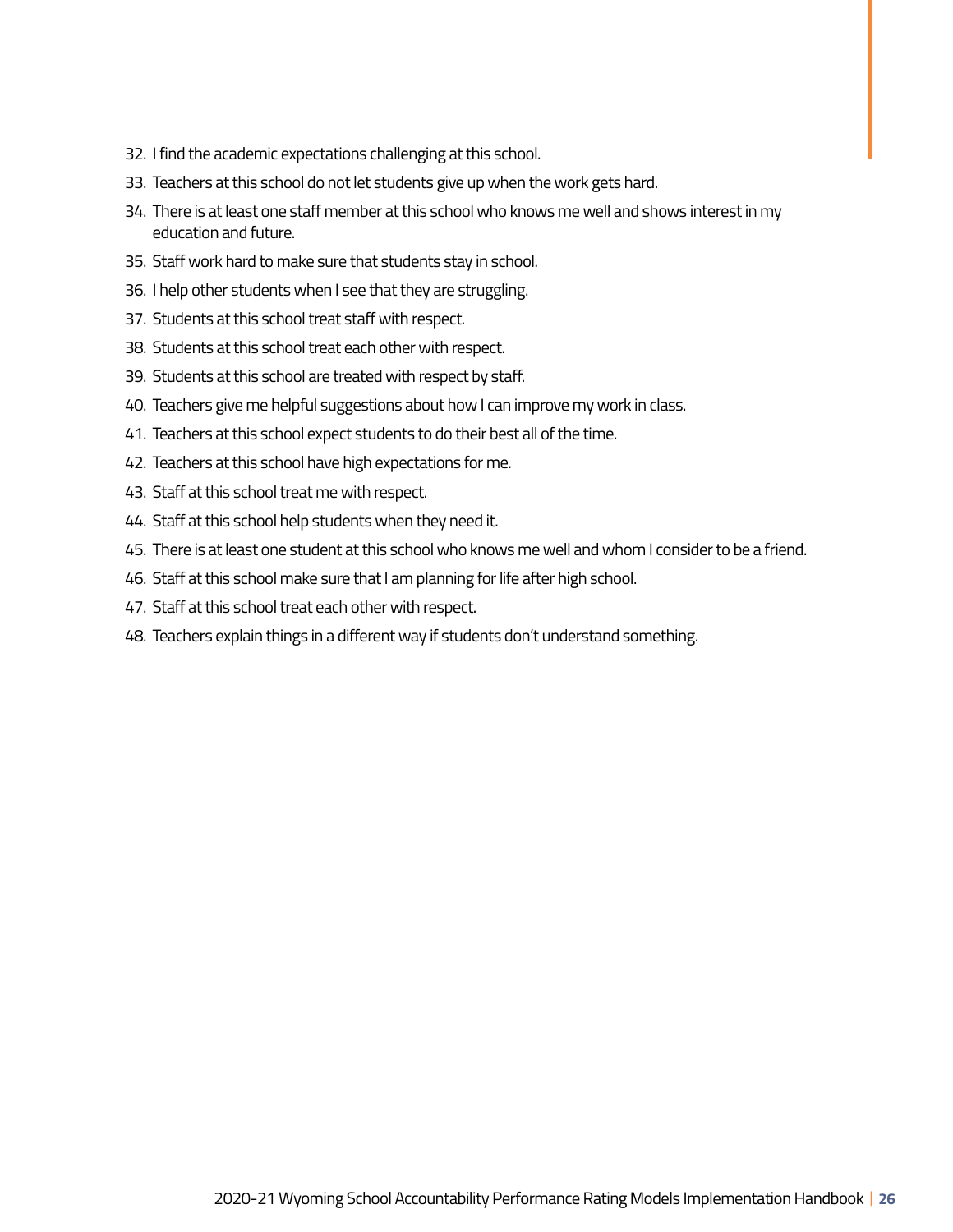- 32. I find the academic expectations challenging at this school.
- 33. Teachers at this school do not let students give up when the work gets hard.
- 34. There is at least one staff member at this school who knows me well and shows interest in my education and future.
- 35. Staff work hard to make sure that students stay in school.
- 36. I help other students when I see that they are struggling.
- 37. Students at this school treat staff with respect.
- 38. Students at this school treat each other with respect.
- 39. Students at this school are treated with respect by staff.
- 40. Teachers give me helpful suggestions about how I can improve my work in class.
- 41. Teachers at this school expect students to do their best all of the time.
- 42. Teachers at this school have high expectations for me.
- 43. Staff at this school treat me with respect.
- 44. Staff at this school help students when they need it.
- 45. There is at least one student at this school who knows me well and whom I consider to be a friend.
- 46. Staff at this school make sure that I am planning for life after high school.
- 47. Staff at this school treat each other with respect.
- 48. Teachers explain things in a different way if students don't understand something.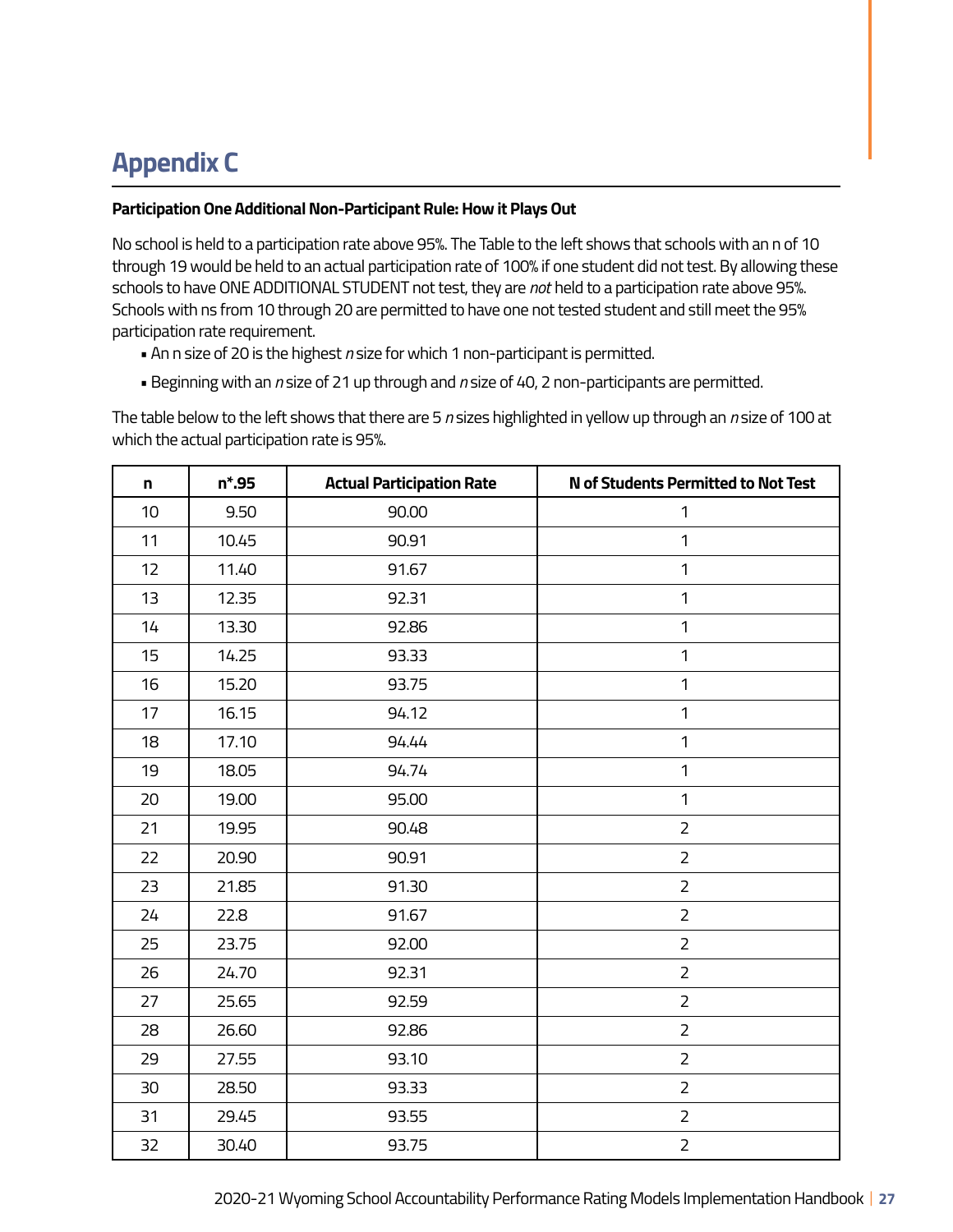# **Appendix C**

### **Participation One Additional Non-Participant Rule: How it Plays Out**

No school is held to a participation rate above 95%. The Table to the left shows that schools with an n of 10 through 19 would be held to an actual participation rate of 100% if one student did not test. By allowing these schools to have ONE ADDITIONAL STUDENT not test, they are *not* held to a participation rate above 95%. Schools with ns from 10 through 20 are permitted to have one not tested student and still meet the 95% participation rate requirement.

- An n size of 20 is the highest *n* size for which 1 non-participant is permitted.
- Beginning with an *n* size of 21 up through and *n* size of 40, 2 non-participants are permitted.

The table below to the left shows that there are 5 *n* sizes highlighted in yellow up through an *n* size of 100 at which the actual participation rate is 95%.

| n  | $n*.95$ | <b>Actual Participation Rate</b> | <b>N</b> of Students Permitted to Not Test |
|----|---------|----------------------------------|--------------------------------------------|
| 10 | 9.50    | 90.00                            | $\mathbf{1}$                               |
| 11 | 10.45   | 90.91                            | 1                                          |
| 12 | 11.40   | 91.67                            | $\mathbf{1}$                               |
| 13 | 12.35   | 92.31                            | $\mathbf{1}$                               |
| 14 | 13.30   | 92.86                            | $\mathbf{1}$                               |
| 15 | 14.25   | 93.33                            | 1                                          |
| 16 | 15.20   | 93.75                            | 1                                          |
| 17 | 16.15   | 94.12                            | 1                                          |
| 18 | 17.10   | 94.44                            | 1                                          |
| 19 | 18.05   | 94.74                            | 1                                          |
| 20 | 19.00   | 95.00                            | $\mathbf{1}$                               |
| 21 | 19.95   | 90.48                            | $\overline{2}$                             |
| 22 | 20.90   | 90.91                            | $\overline{2}$                             |
| 23 | 21.85   | 91.30                            | $\overline{2}$                             |
| 24 | 22.8    | 91.67                            | $\overline{2}$                             |
| 25 | 23.75   | 92.00                            | $\overline{2}$                             |
| 26 | 24.70   | 92.31                            | $\overline{2}$                             |
| 27 | 25.65   | 92.59                            | $\overline{2}$                             |
| 28 | 26.60   | 92.86                            | $\overline{2}$                             |
| 29 | 27.55   | 93.10                            | $\overline{2}$                             |
| 30 | 28.50   | 93.33                            | $\overline{2}$                             |
| 31 | 29.45   | 93.55                            | $\overline{2}$                             |
| 32 | 30.40   | 93.75                            | $\overline{2}$                             |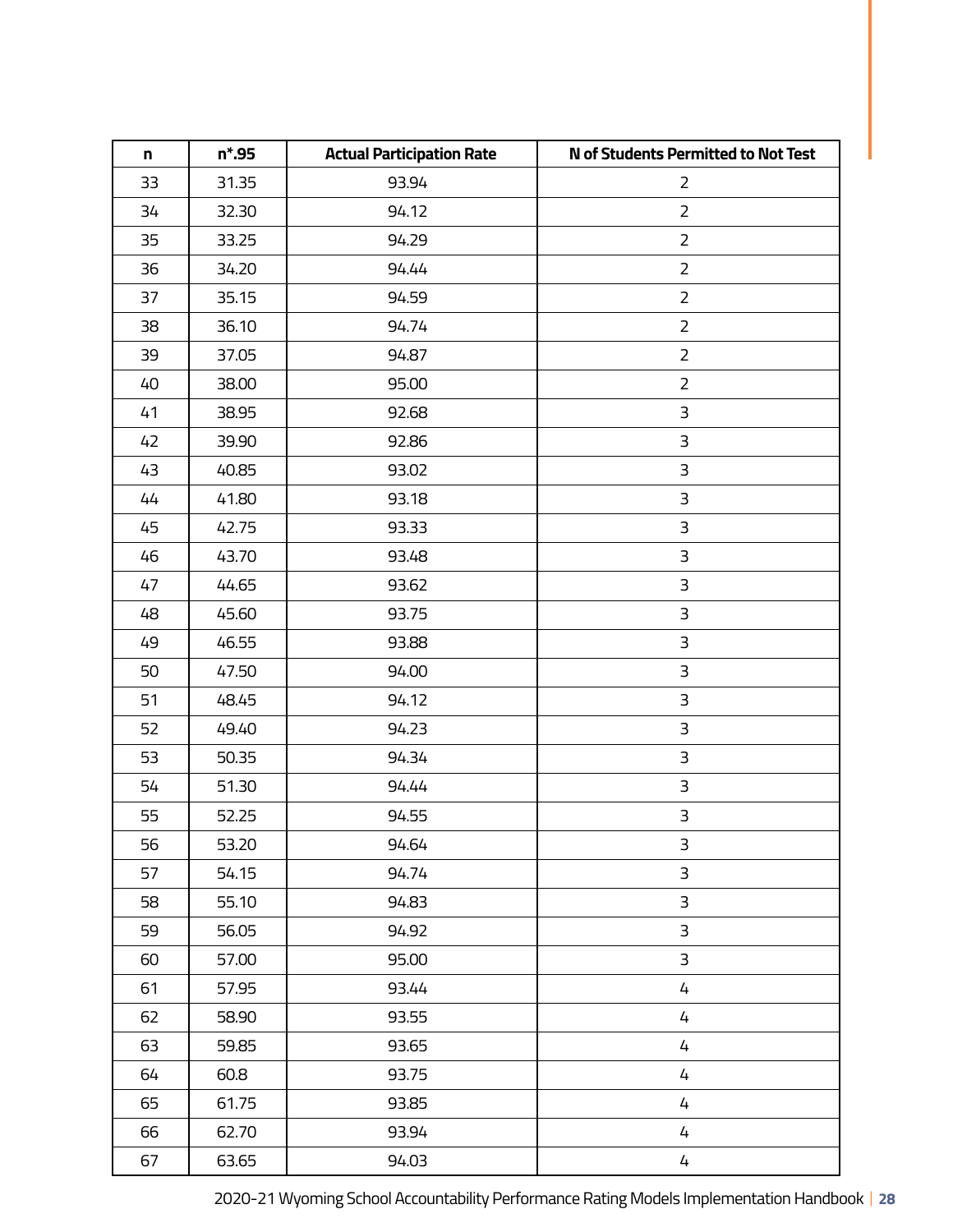| n  | $n*.95$ | <b>Actual Participation Rate</b> | N of Students Permitted to Not Test |
|----|---------|----------------------------------|-------------------------------------|
| 33 | 31.35   | 93.94                            | $\overline{2}$                      |
| 34 | 32.30   | 94.12                            | $\overline{2}$                      |
| 35 | 33.25   | 94.29                            | $\overline{2}$                      |
| 36 | 34.20   | 94.44                            | $\overline{2}$                      |
| 37 | 35.15   | 94.59                            | $\overline{2}$                      |
| 38 | 36.10   | 94.74                            | $\overline{2}$                      |
| 39 | 37.05   | 94.87                            | $\overline{2}$                      |
| 40 | 38.00   | 95.00                            | $\overline{2}$                      |
| 41 | 38.95   | 92.68                            | 3                                   |
| 42 | 39.90   | 92.86                            | 3                                   |
| 43 | 40.85   | 93.02                            | 3                                   |
| 44 | 41.80   | 93.18                            | 3                                   |
| 45 | 42.75   | 93.33                            | $\mathsf 3$                         |
| 46 | 43.70   | 93.48                            | $\mathsf 3$                         |
| 47 | 44.65   | 93.62                            | 3                                   |
| 48 | 45.60   | 93.75                            | 3                                   |
| 49 | 46.55   | 93.88                            | $\overline{\mathsf{3}}$             |
| 50 | 47.50   | 94.00                            | 3                                   |
| 51 | 48.45   | 94.12                            | 3                                   |
| 52 | 49.40   | 94.23                            | 3                                   |
| 53 | 50.35   | 94.34                            | 3                                   |
| 54 | 51.30   | 94.44                            | 3                                   |
| 55 | 52.25   | 94.55                            | $\overline{\mathsf{3}}$             |
| 56 | 53.20   | 94.64                            | 3                                   |
| 57 | 54.15   | 94.74                            | 3                                   |
| 58 | 55.10   | 94.83                            | 3                                   |
| 59 | 56.05   | 94.92                            | 3                                   |
| 60 | 57.00   | 95.00                            | 3                                   |
| 61 | 57.95   | 93.44                            | 4                                   |
| 62 | 58.90   | 93.55                            | 4                                   |
| 63 | 59.85   | 93.65                            | 4                                   |
| 64 | 60.8    | 93.75                            | 4                                   |
| 65 | 61.75   | 93.85                            | 4                                   |
| 66 | 62.70   | 93.94                            | 4                                   |
| 67 | 63.65   | 94.03                            | 4                                   |